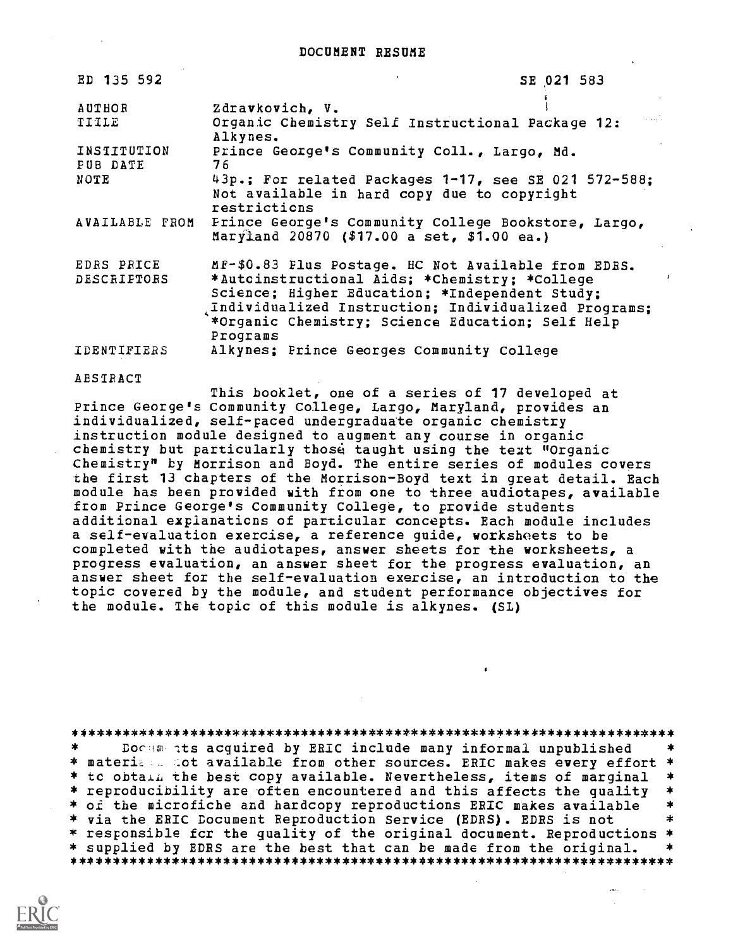| ED 135 592                | SE 021 583                                                                                                                                                                                                                                                                     |
|---------------------------|--------------------------------------------------------------------------------------------------------------------------------------------------------------------------------------------------------------------------------------------------------------------------------|
| <b>AUTHOR</b>             | Zdravkovich, V.                                                                                                                                                                                                                                                                |
| TIILE                     | a ling <sup>a</sup><br>Organic Chemistry Self Instructional Package 12:<br>Alkynes.                                                                                                                                                                                            |
| INSIITUTION<br>PUB DATE   | Prince George's Community Coll., Largo, Md.<br>76                                                                                                                                                                                                                              |
| NOTE                      | 43p.; For related Packages 1-17, see SE 021 572-588;<br>Not available in hard copy due to copyright<br>restrictions                                                                                                                                                            |
|                           | AVAILABLE FROM Frince George's Community College Bookstore, Largo,<br>Maryland 20870 (\$17.00 a set, \$1.00 ea.)                                                                                                                                                               |
| EDRS PRICE<br>DESCRIFTORS | MF-\$0.83 Plus Postage. HC Not Available from EDES.<br>*Autcinstructional Aids; *Chemistry; *College<br>Science; Higher Education; *Independent Study;<br>Individualized Instruction; Individualized Programs;<br>*Organic Chemistry; Science Education; Self Help<br>Programs |
| <b>IDENTIFIERS</b>        | Alkynes; Prince Georges Community College                                                                                                                                                                                                                                      |

#### ABSIRACT

This booklet, one of a series of 17 developed at Prince George's Community College, Largo, Maryland, provides an individualized, self-paced undergraduate organic chemistry instruction module designed to augment any course in organic chemistry but particularly those taught using the text "Organic Chemistry" by Morrison and Boyd. The entire series of modules covers the first 13 chapters of the Morrison-Boyd text in great detail. Each module has been provided with from one to three audiotapes, available from Prince George's Community College, to provide students additional explanations of particular concepts. Each module includes a self-evaluation exercise, a reference guide, worksheets to be completed with the audiotapes, answer sheets for the worksheets, a progress evaluation, an answer sheet for the progress evaluation, an answer sheet for the self-evaluation exercise, an introduction to the topic covered by the module, and student performance objectives for the module. The topic of this module is alkynes. (SL)

Documents acquired by ERIC include many informal unpublished \* materia and tot available from other sources. ERIC makes every effort \* \* to obtain the best copy available. Nevertheless, items of marginal  $\ast$ \* reproducibility are often encountered and this affects the quality \* of the microfiche and hardcopy reproductions ERIC makes available  $\star$ \* via the ERIC Document Reproduction Service (EDRS). EDRS is not  $\ast$ \* responsible fcr the quality of the original document. Reproductions \* \* supplied by EDRS are the best that can be made from the original. 

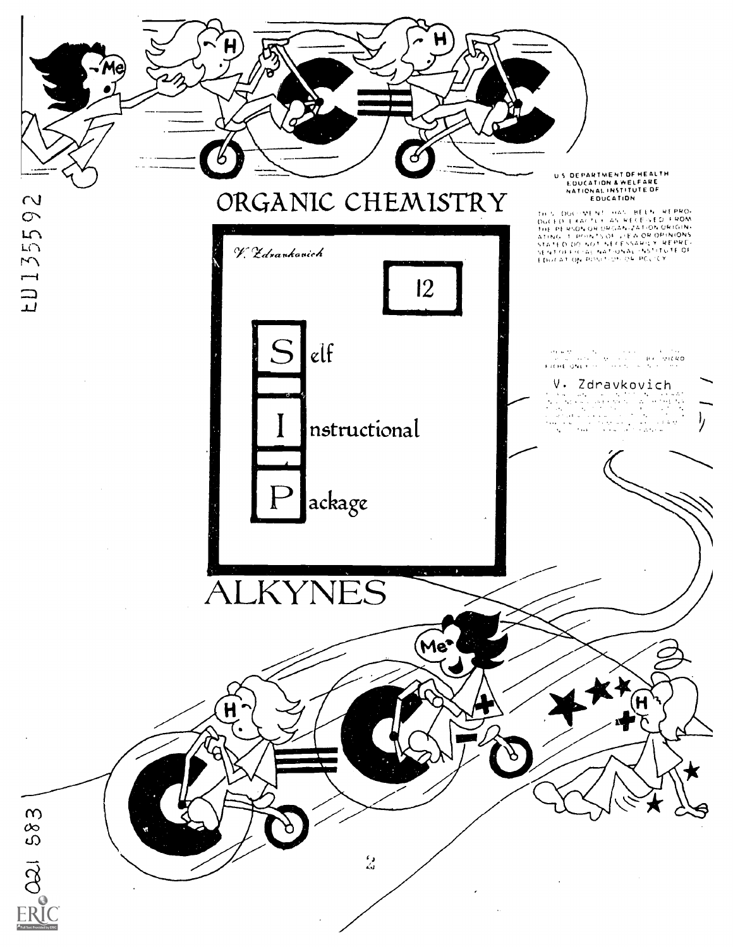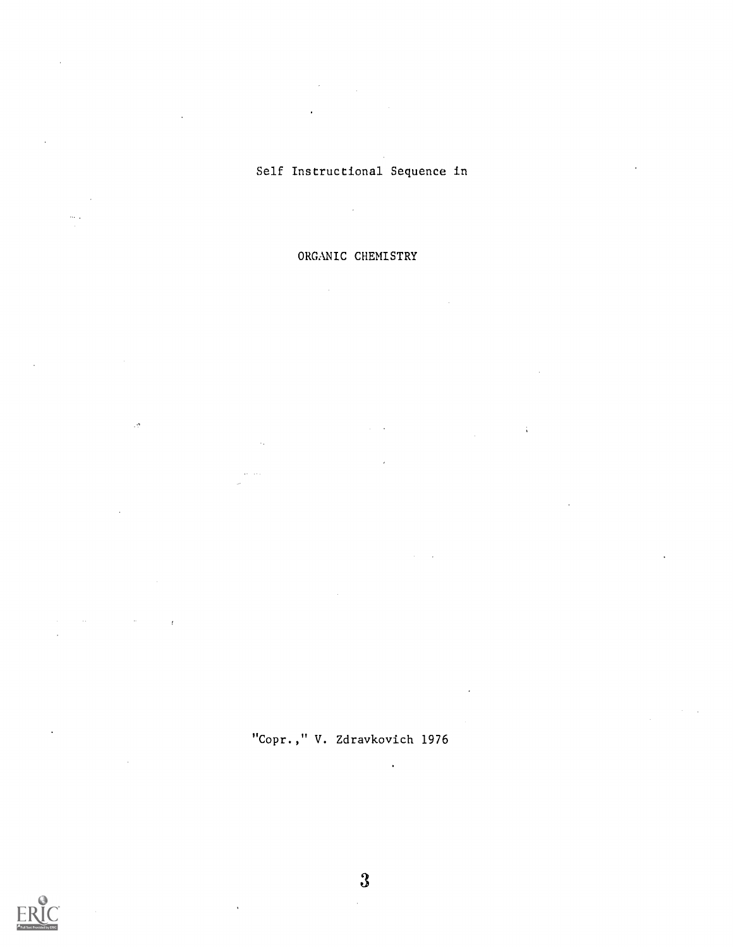# Self Instructional Sequence in

 $\label{eq:2.1} \mathcal{F}(\mathcal{F}) = \mathcal{F}(\mathcal{F})$ 

 $\hat{\mathbf{r}}$ 

 $\ddot{\phantom{a}}$ 

 $\bar{z}$ 

 $\sim$ 

 $\sim$   $\sim$ 

 $\mathcal{L}^{\text{max}}_{\text{max}}$  and  $\mathcal{L}^{\text{max}}_{\text{max}}$ 

# ORGANIC CHEMISTRY

 $\sim$   $\sim$  $\mathcal{A}^{\bullet}$  $\alpha = 0.01$  $\sim 14$  $\sim 10^{-11}$  $\hat{\mathcal{A}}_{\text{in}}$  $\bar{1}$  ,  $\bar{1}$  ,  $\bar{1}$ 

and the state of  $\ddot{\phantom{a}}$ 

 $\mathcal{L}(\mathcal{A})$  and  $\mathcal{L}(\mathcal{A})$  are the set of the set of  $\mathcal{L}(\mathcal{A})$ 

 $\sim 10$ 

 $\sim 10$ 

# "Copr.," V. Zdravkovich 1976



 $\hat{\mathbf{v}}$ 

3

 $\hat{\vec{r}}$ 

 $\sim 10^{11}$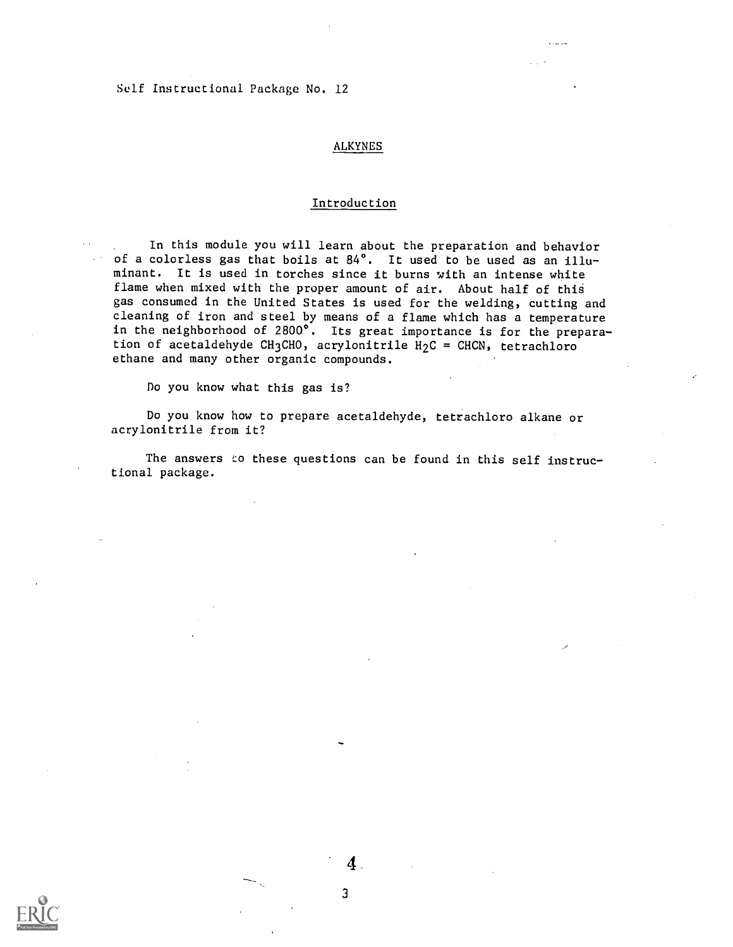### Self Instructional Package No. 12

## ALKYNES

#### Introduction

In this module you will learn about the preparation and behavior of a colorless gas that boils at 84°. It used to be used as an illuminant. It is used in torches since it burns with an intense white flame when mixed with the proper amount of air. About half of this gas consumed in the United States is used for the welding, cutting and cleaning of iron and steel by means of a flame which has a temperature in the neighborhood of 2800°. Its great importance is for the preparation of acetaldehyde  $CH_3CHO$ , acrylonitrile  $H_2C = CHCN$ , tetrachloro ethane and many other organic compounds.

Do you know what this gas is?

Do you know how to prepare acetaldehyde, tetrachloro alkane or acrylonitrile from it?

3

4.

The answers to these questions can be found in this self instructional package.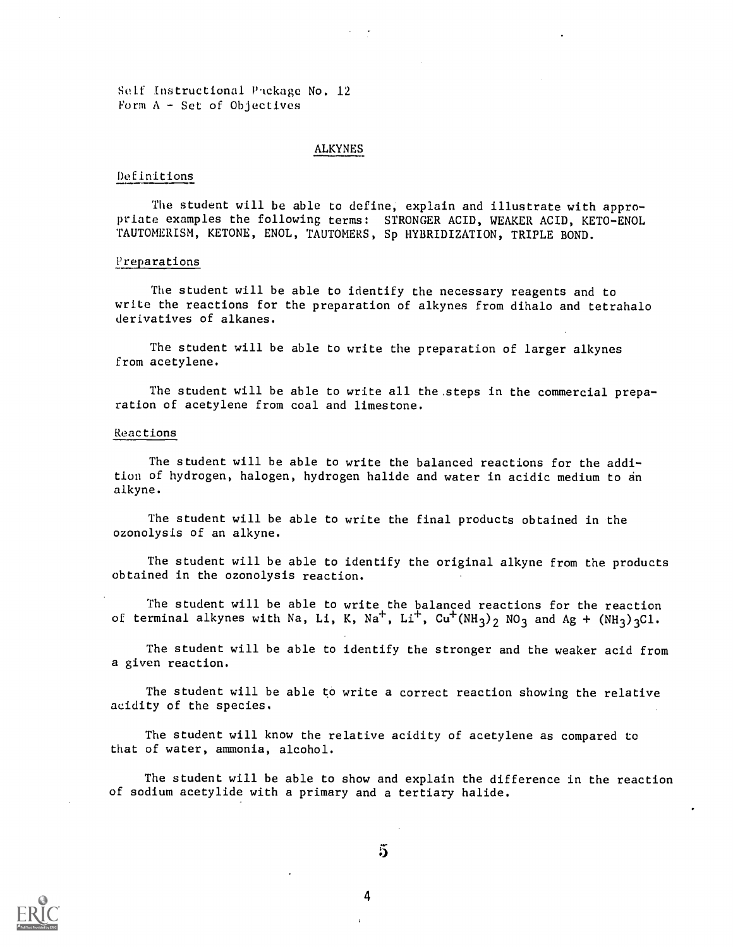Self Instructional Phckage No. 12 Form A - Set of Objectives

#### ALKYNES

#### Definitions

The student will be able to define, explain and illustrate with appropriate examples the following terms: STRONGER ACID, WEAKER ACID, KETO-ENOL TAUTOMERISM, KETONE, ENOL, TAUTOMERS, Sp HYBRIDIZATION, TRIPLE BOND.

#### Preparations

The student will be able to identify the necessary reagents and to write the reactions for the preparation of alkynes from dihalo and tetrahalo derivatives of alkanes.

The student will be able to write the preparation of larger alkynes from acetylene.

The student will be able to write all the.steps in the commercial preparation of acetylene from coal and limestone.

### Reactions

The student will be able to write the balanced reactions for the addition of hydrogen, halogen, hydrogen halide and water in acidic medium to an alkyne.

The student will be able to write the final products obtained in the ozonolysis of an alkyne.

The student will be able to identify the original alkyne from the products obtained in the ozonolysis reaction.

The student will be able to write the balanced reactions for the reaction of terminal alkynes with Na, Li, K, Na<sup>+</sup>, Li<sup>+</sup>, Cu<sup>+</sup>(NH<sub>3</sub>)<sub>2</sub> NO<sub>3</sub> and Ag + (NH<sub>3</sub>)<sub>3</sub>C1.

The student will be able to identify the stronger and the weaker acid from a given reaction.

The student will be able to write a correct reaction showing the relative acidity of the species.

The student will know the relative acidity of acetylene as compared to that of water, ammonia, alcohol.

The student will be able to show and explain the difference in the reaction of sodium acetylide with a primary and a tertiary halide.



 $\tilde{5}$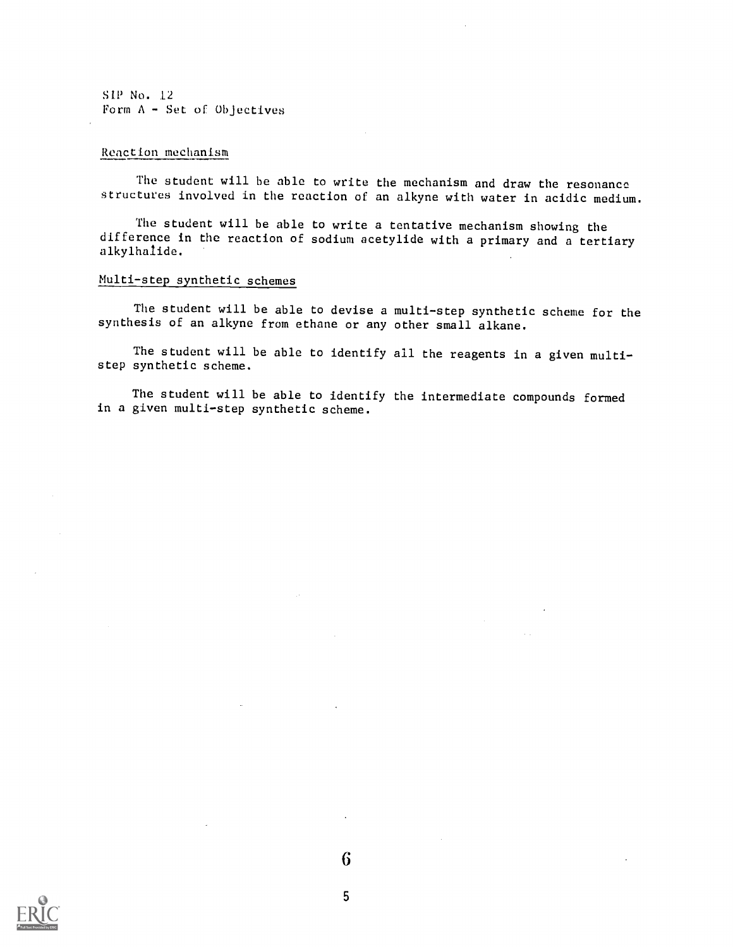SIP No. 12 Form A - Set of Objectives

## Reaction mechanism

The student will he able to write the mechanism and draw the resonance structures involved in the reaction of an alkyne with water in acidic medium.

The student will be able to write a tentative mechanism showing the difference in the reaction of sodium acetylide with a primary and a tertiary alkylhalide.

## Multi-step synthetic schemes

The student will be able to devise a multi-step synthetic scheme for the synthesis of an alkyne from ethane or any other small alkane.

The student will be able to identify all the reagents in a given multistep synthetic scheme.

The student will be able to identify the intermediate compounds formed in a given multi-step synthetic scheme.



 $\sim$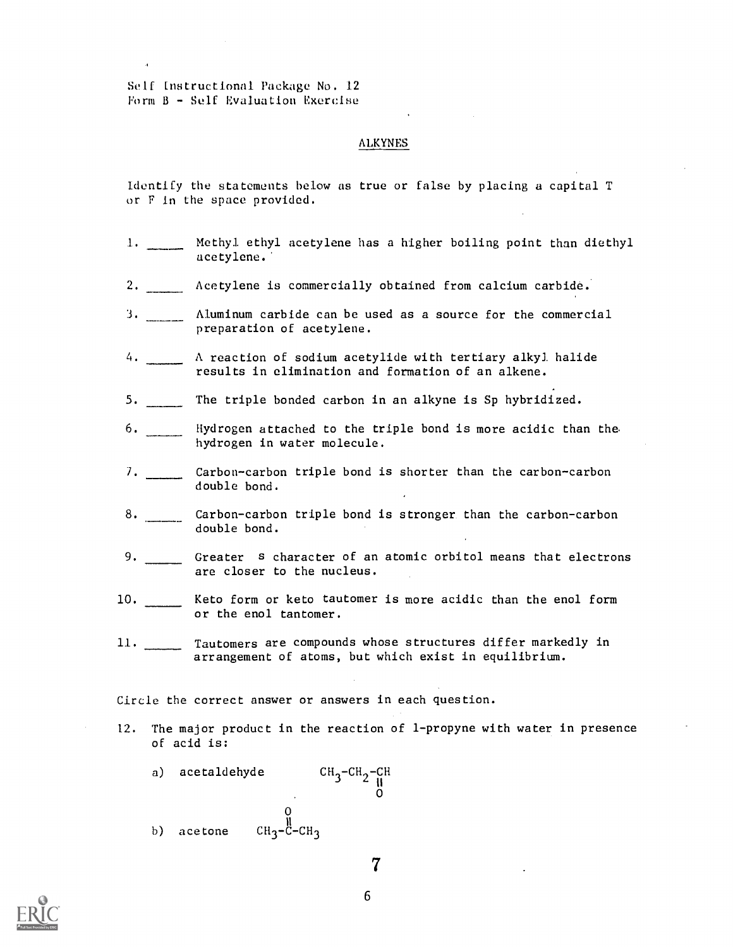Self Instructional Package No. 12 Form B - Self Evaluation Exercise

#### ALKYNES

Identify the statements below as true or false by placing a capital T or F in the space provided.

- 1. \_\_\_\_ Methyl ethyl acetylene has a higher boiling point than diethyl acetylene.'
- 2. Acetylene is commercially obtained from calcium carbide.
- 3. Aluminum carbide can be used as a source for the commercial preparation of acetylene.
- 4. A reaction of sodium acetylide with tertiary alkyl halide results in elimination and formation of an alkene.
- 5. The triple bonded carbon in an alkyne is Sp hybridized.
- 6. Hydrogen attached to the triple bond is more acidic than the. hydrogen in water molecule.
- 7. Carbon-carbon triple bond is shorter than the carbon-carbon double bond.
- 8. Carbon-carbon triple bond is stronger than the carbon-carbon double bond.
- 9. Greater s character of an atomic orbitol means that electrons are closer to the nucleus.
- 10. \_\_\_\_\_ Keto form or keto tautomer is more acidic than the enol form or the enol tantomer.
- 11. Tautomers are compounds whose structures differ markedly in arrangement of atoms, but which exist in equilibrium.

Circle the correct answer or answers in each question.

- 12. The major product in the reaction of 1-propyne with water in presence of acid is:
	- a) acetaldehyde CH,J -C1-10-CH II b) acetone  $\ddot{0}$  $CH_3 - C - CH_3$ 0



7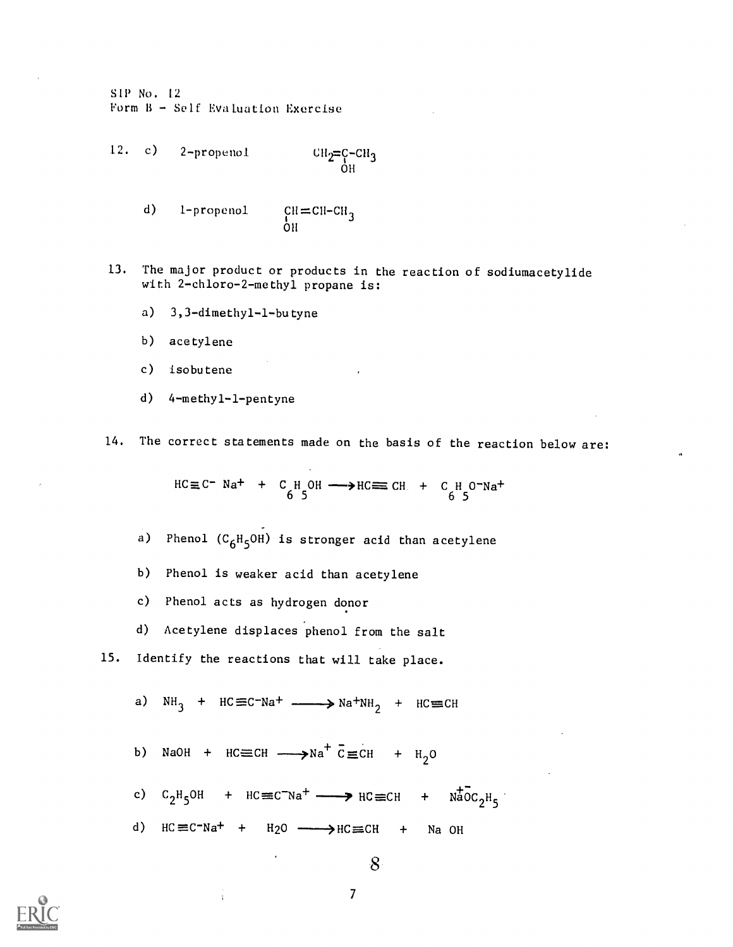SIP No. 12 Form  $B - Self$  Evaluation Exercise

- 12. c) 2-propenol CH<sub>2</sub>=C-CH<sub>3</sub> OH
	- d) 1-propenol CH=CH-CH<sub>3</sub> OH
- 13. The major product or products in the reaction of sodiumacetylide with 2-chloro-2-methyl propane is:
	- a) 3,3-dimethyl-l-butyne
	- b) acetylene
	- c) isobutene
	- d) 4-methyl-l-pentyne

14. The correct statements made on the basis of the reaction below are:

 $HC \equiv C^-$  Na<sup>+</sup> +  $C_{\mu}$  OH  $\longrightarrow$   $HC \equiv CH_{\mu}$  +  $C_{\mu}$  O<sup>-</sup>Na<sup>+</sup> 6 5 6 5

- a) Phenol (C<sub>6</sub>H<sub>5</sub>OH) is stronger acid than acetylene
- b) Phenol is weaker acid than acetylene
- c) Phenol acts as hydrogen donor

 $\ddot{\cdot}$ 

- d) Acetylene displaces phenol from the salt
- 15. Identify the reactions that will take place.
	- a)  $NH_3$  + HC $\equiv$ C<sup>-</sup>Na<sup>+</sup>  $\rightarrow$  Na<sup>+</sup>NH<sub>2</sub> + HC $\equiv$ CH
	- b) NaOH + HC $\equiv$ CH  $\longrightarrow$ Na<sup>+</sup> C<sub>E</sub>CH + H<sub>2</sub>O
	- c)  $C_2H_5OH$  +  $HC \equiv C^-Na^+ \longrightarrow HC \equiv CH$  +  $N\overline{a}OC_2H_5$
	- d)  $HC \equiv C^-Na^+ + H_2O \longrightarrow HC \equiv CH + NaOH$

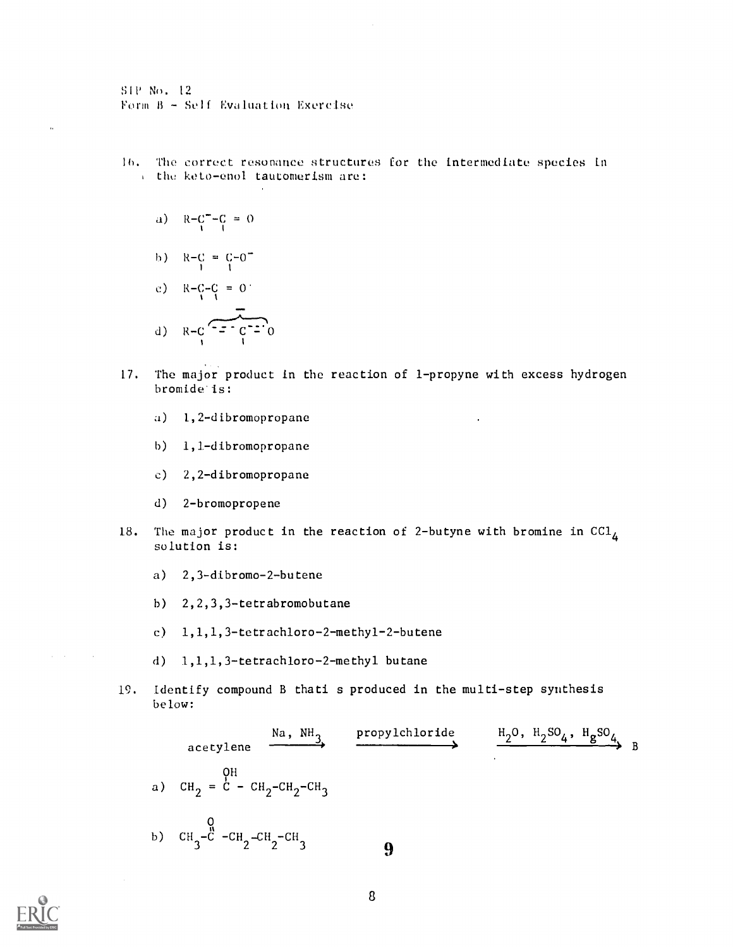SIP No. 12 Form  $B - Self$  Evaluation Exercise

- II). The correct resonance structures for the intermediate species In the keto-enol tautomerism are:
	- a)  $R C C = 0$ b)  $R-C = C-C$
	- e)  $R-C-C = 0$ d)  $R-C$   $\overline{z-c}$   $\overline{c}$   $\overline{c}$
- 17. The major product in the reaction of 1-propyne with excess hydrogen bromide'is:
	- a) 1,2-dibromopropane
	- b) 1,1-dibromopropane
	- c) 2,2-dibromopropane
	- d) 2-bromopropene
- 18. The major product in the reaction of 2-butyne with bromine in  $\text{CC1}_4$ solution is:
	- a) 2,3-dibromo-2-butene
	- b) 2,2,3,3-tetrabromobutane
	- c)  $1,1,1,3$ -tetrachloro-2-methy1-2-butene
	- d) 1,1,1,3-tetrachloro-2-methyl butane
- 19. Identify compound B thati s produced in the multi-step synthesis below:

Na, NH<sub>2</sub> prop acetylene <del>- - -</del> 911 a)  $CH_2 = C - CH_2-CH_2-CH_3$ b)  $CH_3-C-CH_2-CH_2-CH_3$ propylchloride  $H_2^0$ ,  $H_2^{\text{SO}_4}$ ,  $H_{\text{g}}^{\text{SO}_4}$ 9

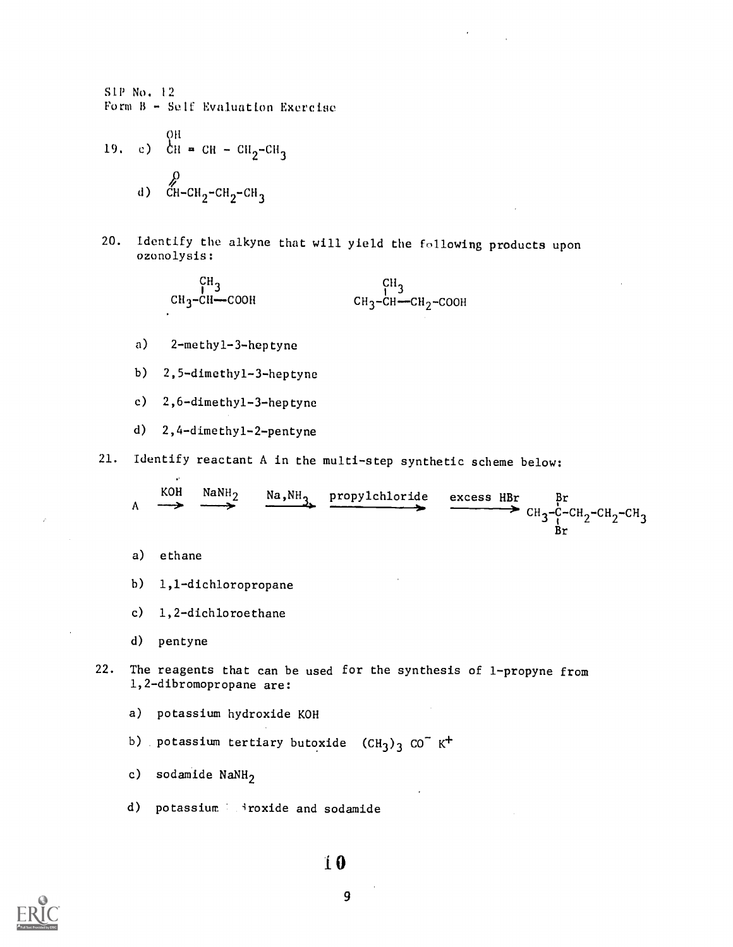SIP No. 12 Form  $B - Set$  Evaluation Exercise

19. c) 
$$
\begin{array}{cc}\n\text{OH} \\
\text{CH} = \text{CH} - \text{CH}_2-\text{CH}_3 \\
\text{H} & \text{CH}-\text{CH}_2-\text{CH}_2-\text{CH}_3\n\end{array}
$$

20. Identify the alkyne that will yield the following products upon ozonolysis:

$$
\begin{array}{cc}\n\begin{array}{cc}\n\text{CH}_{3} \\
\text{CH}_{3}-\text{CH}-\text{COOH}\n\end{array} & \begin{array}{cc}\n\text{CH}_{3} \\
\text{CH}_{3}-\text{CH}-\text{CH}_{2}-\text{COOH}\n\end{array}\n\end{array}
$$

- a) 2-methy1-3-heptyne
- b) 2,5-dimethy1-3-heptyne
- c) 2,6-dimethy1-3-heptyne
- d) 2,4-dimethy1-2-pentyne

21. Identify reactant A in the multi-step synthetic scheme below:

$$
A \longrightarrow \longrightarrow^{\text{KOH}} \longrightarrow^{\text{Na,NH}_2} \longrightarrow^{\text{Na,NH}_3} \longrightarrow^{\text{propylchloride}} \longrightarrow^{\text{excess HBr}} \text{CH}_3\text{-}^{\text{C-CH}_2\text{-}CH}_2\text{-}^{\text{-}CH}_3
$$

a) ethane

 $\ddot{\phantom{a}}$ 

- b) 1,1-dichloropropane
- c) 1,2-dichloroethane
- d) pentyne
- 22. The reagents that can be used for the synthesis of 1-propyne from 1,2-dibromopropane are:
	- a) potassium hydroxide KOH
	- b) potassium tertiary butoxide  $(CH_3)_3$  CO<sup>- K<sup>+</sup></sup>
	- c) sodamide NaNH<sub>2</sub>
	- d) potassium introxide and sodamide

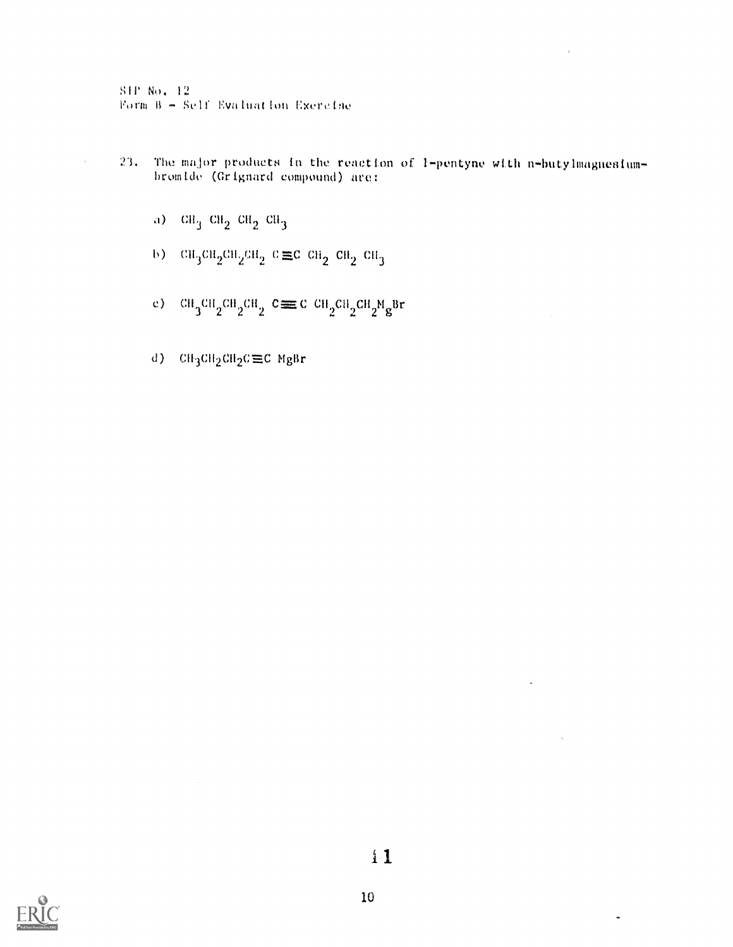SIP No. 12 Form B - Self Evaluation Exercise

- The major products in the reaction of 1-pentyne with n-butylmagnesium-23. brom Ide (Grignard compound) are:
	- a)  $Cl_{3} Cl_{2} Cl_{2} Cl_{2} Cl_{3}$

 $\hat{r}$ 

- **b**)  $CH_3CH_2CH_2CH_2$   $C \equiv C CH_2 CH_2 CH_3$
- c)  $\text{CH}_3\text{CH}_2\text{CH}_2\text{CH}_2$   $c \equiv c \text{CH}_2\text{CH}_2\text{CH}_2\text{N}_8\text{Br}$
- d)  $CH_3CH_2CH_2C \equiv C MgBr$



 $\ddot{\phantom{1}}$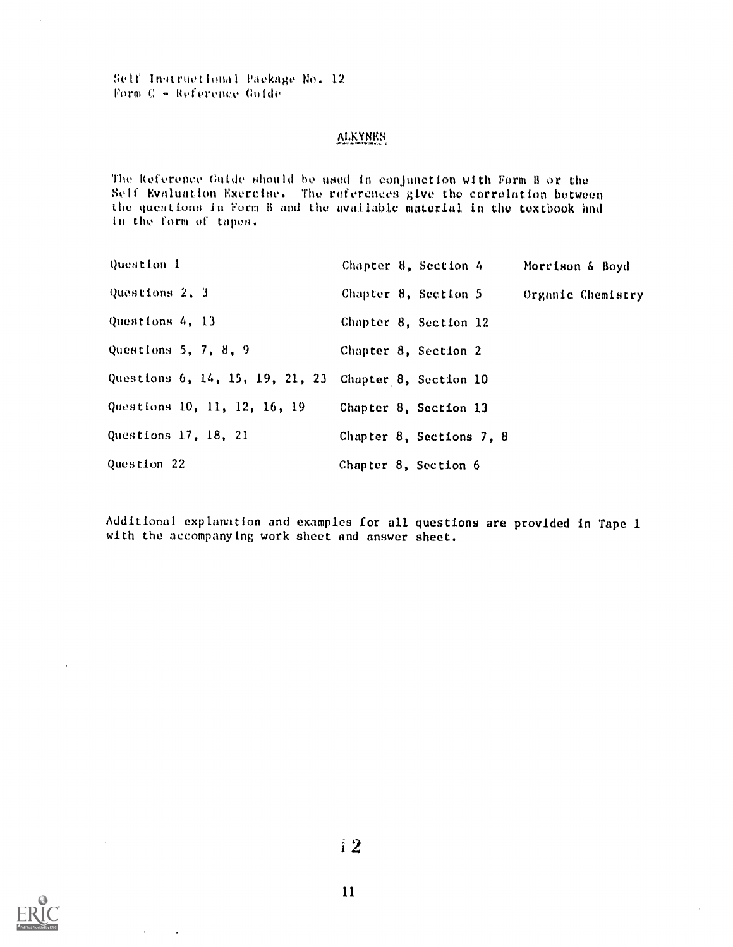Self instructional Package No. 12 Form C - Reference Guide

## **ALKYNES**

The Reference Guide should he used in conjunction with Form B or the Self Evaluation Exercise. The references give the correlation between the questions in Form B and the available material in the textbook and In the form of tapes.

| Question 1                                            | Chapter 8, Section 4     | Morrison & Boyd   |
|-------------------------------------------------------|--------------------------|-------------------|
| Questions 2, 3                                        | Chapter 8, Section 5     | Organic Chemistry |
| Questions 4, 13                                       | Chapter 8, Section 12    |                   |
| Questions 5, 7, 8, 9                                  | Chapter 8, Section 2     |                   |
| Questions 6, 14, 15, 19, 21, 23 Chapter 8, Section 10 |                          |                   |
| Questions 10, 11, 12, 16, 19                          | Chapter 8, Section 13    |                   |
| Questions 17, 18, 21                                  | Chapter 8, Sections 7, 8 |                   |
| Question 22                                           | Chapter 8, Section 6     |                   |

Additional explanation and examples for all questions are provided in Tape 1 with the accompanying work sheet and answer sheet.



 $\ddotsc$ 

 $\overline{\phantom{a}}$ 

I 2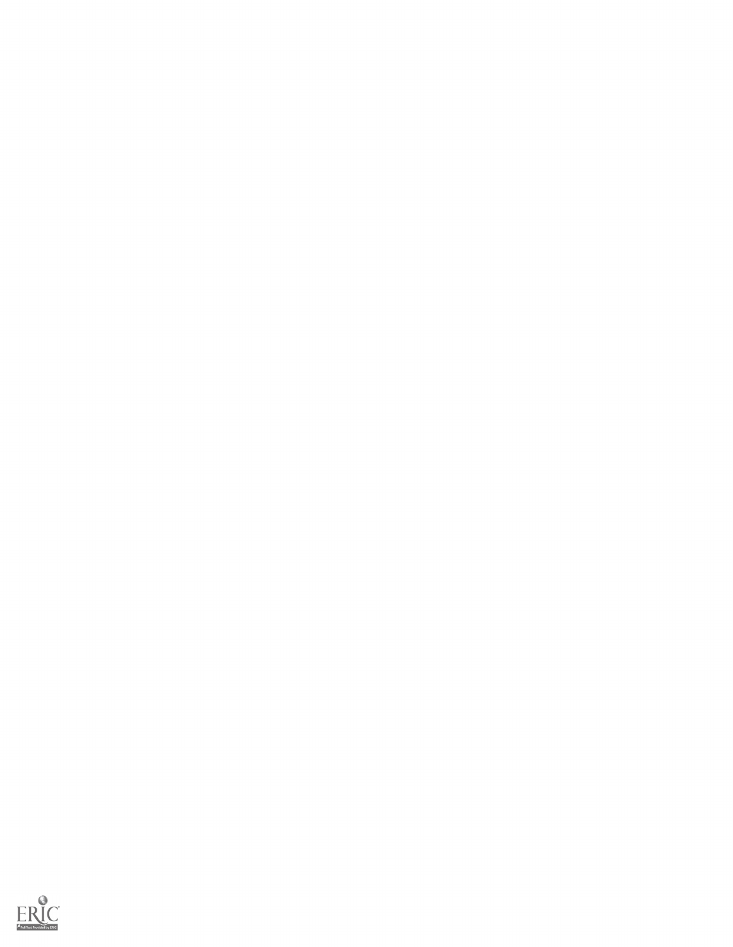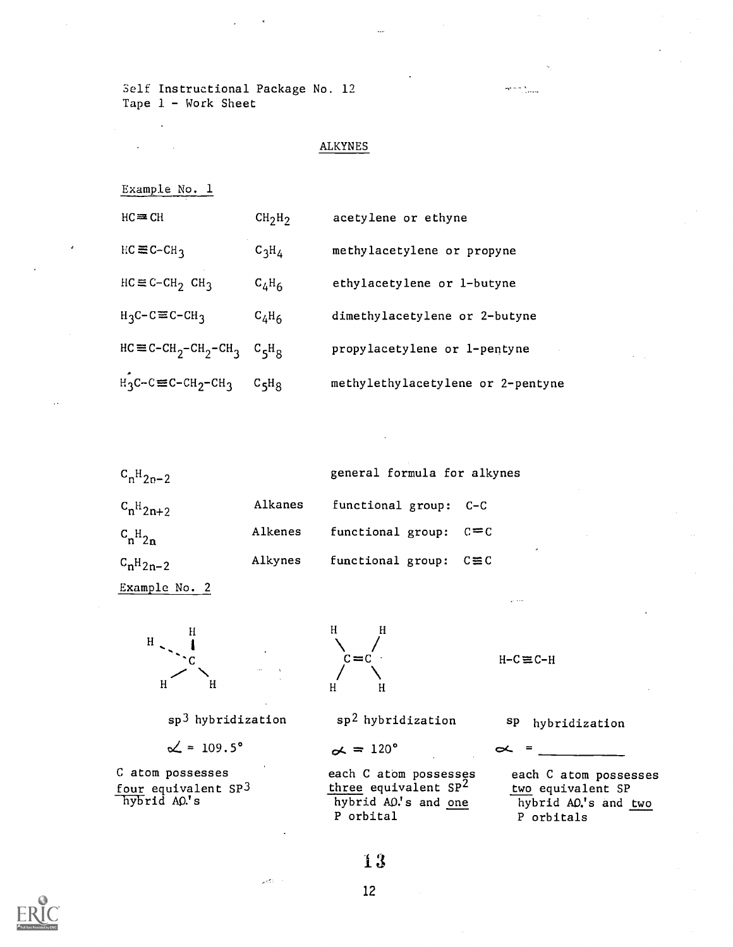## Self Instructional Package No. 12 Tape 1 - Work Sheet

## ALKYNES

Example No. 1

 $\mathbf{r}$ 

| $HC = CH$                                   | CH <sub>2</sub> H <sub>2</sub> | acetylene or ethyne               |
|---------------------------------------------|--------------------------------|-----------------------------------|
| $HC \equiv C - CH_3$                        | $C_3H_4$                       | methylacetylene or propyne        |
| $HC \equiv C - CH_2 CH_3$                   | $C_{4}H_{6}$                   | ethylacetylene or 1-butyne        |
| $H_3C-C \equiv C-CH_3$                      | $C_4H_6$                       | dimethylacetylene or 2-butyne     |
| $HC \equiv C - CH_2 - CH_2 - CH_3$ $C_5H_8$ |                                | propylacetylene or 1-pentyne      |
| $H_3C-C \equiv C-CH_2-CH_3$                 | $C_5H_8$                       | methylethylacetylene or 2-pentyne |

| $c_nH_{2n-2}$ | general formula for alkynes |                                |   |  |  |  |
|---------------|-----------------------------|--------------------------------|---|--|--|--|
| $c_nH_{2n+2}$ | Alkanes                     | functional group: C-C          |   |  |  |  |
| $C_nH_{2n}$   | Alkenes                     | functional group: $C=C$        |   |  |  |  |
| $c_nH_{2n-2}$ | Alkynes                     | functional group: $C \equiv C$ | × |  |  |  |

Example No. <sup>2</sup>



sp3 hybridization

 $\mu$  of  $\mathbb{C}^{\times}$ 

 $\alpha$  = 109.5°

C atom possesses four equivalent SP3 hybrid AO's

 $\,$  H  $H$  $c = c$  $H$  $H$ 

sp2 hybridization

 $\alpha = 120^{\circ}$ 

each C atom possesses three equivalent SP<sup>2</sup> hybrid AD.'s and one P orbital

 $H-C \equiv C-H$ 

en e e S

sp hybridization

 $\propto$ = <u>\_\_</u>\_\_\_\_

> each C atom possesses two equivalent SP hybrid AD.'s and two P orbitals

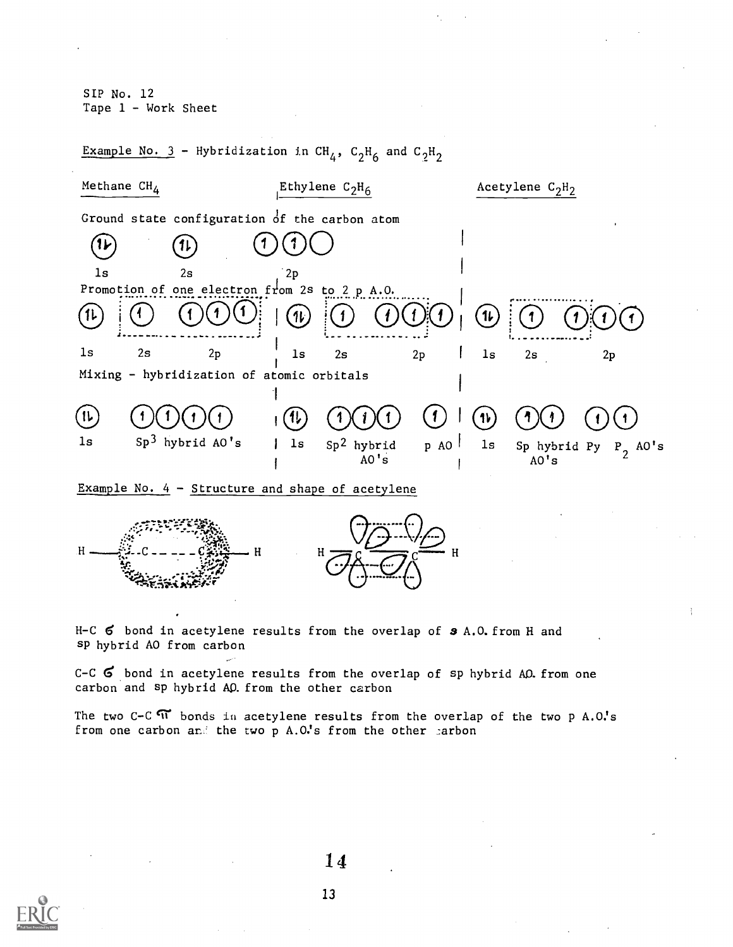



H-C 6 bond in acetylene results from the overlap of \$ A.O. from H and sp hybrid AO from carbon

C-C  $\sigma$  bond in acetylene results from the overlap of sp hybrid AO. from one carbon and sp hybrid AO. from the other carbon

The two C-C  $\pi$  bonds in acetylene results from the overlap of the two p A.O.'s from one carbon and the two p A.O.'s from the other carbon

 $14$ 

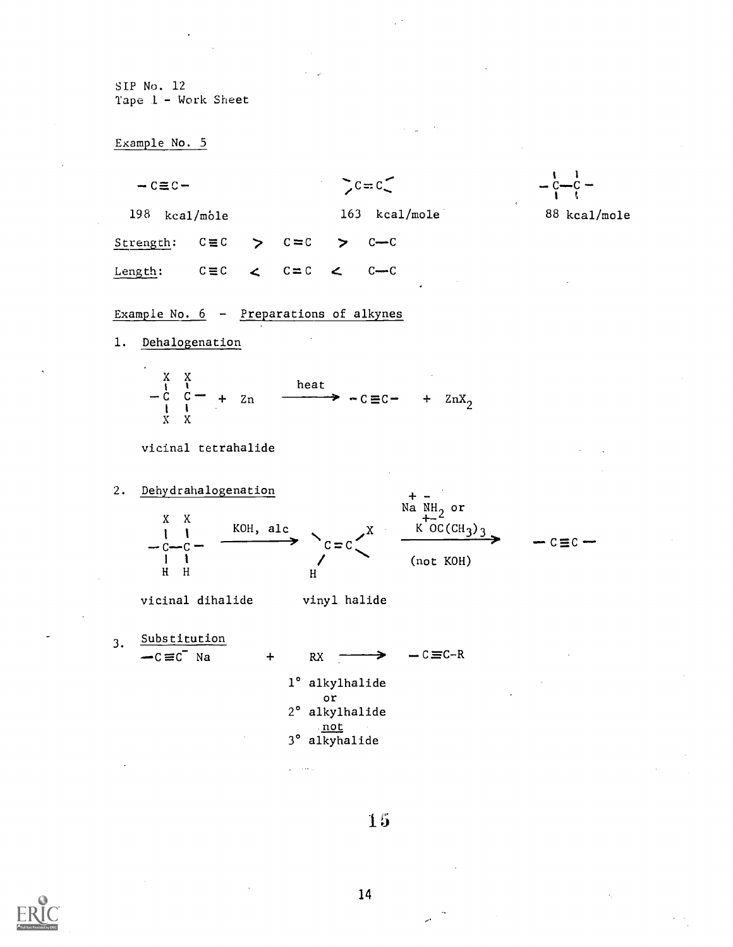$$
-C \equiv C -
$$
  
198 kcal/móle 163 kcal/mole



88 kcal/mole

Strength:  $C \equiv C$  $c = c$  $c - c$  $\geq$ Length:  $C \equiv C$  $C = C$  $\blacktriangle$  $C - C$  $\prec$ 

## Example No. 6 - Preparations of alkynes

1. Dehalogenation

vicinal tetrahalide

2. Dehydrahalogenation

Na NH<sub>2</sub> or<br>  $k \overline{OC}$  (CH<sub>3</sub>)  $X$  X KOH, alc  $\mathbf{I}$  $\mathbf{I}$  $-c \equiv c$   $\rightarrow$  $C = C$ C  $\mathbf{I}$  $(not KOH)$  $H$  $H$  $H$ 

vicinal dihalide

vinyl halide

Substitution  $3.$  $-C \equiv C$  Na

 $\ddot{+}$  $Rx -c \equiv c - R$ →  $1^{\circ}$  alkylhalide or 2° alkylhalide  $rac{\text{not}}{\text{not}}$ 3° alkyhalide

2. Color

15

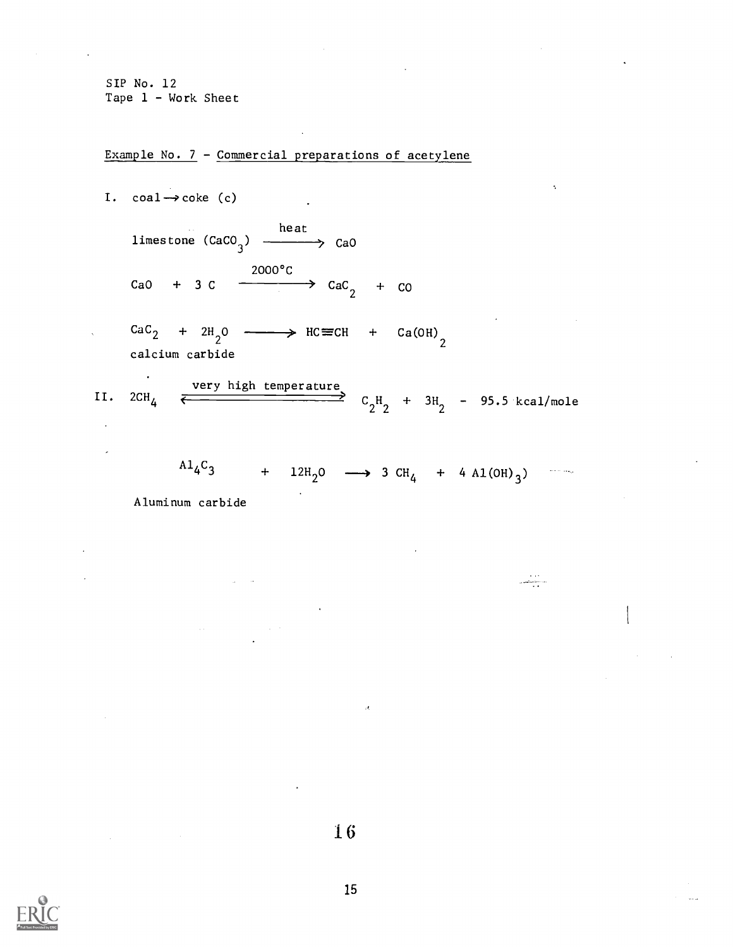Example No. 7 - Commercial preparations of acetylene

I.  $\cosh \rightarrow \cosh (\cosh \theta)$ heat limestone (CaCO $_3$ ) ----------Ca0 2000°C  $\text{CaO}$  + 3 C  $\text{---}$  $\frac{\text{CaC}_2}{\text{2}}$  + CO  $\text{CaC}_2$  + 2H<sub>2</sub>O  $\longrightarrow$  HC=CH + Ca(OH)<sub>2</sub> 2 calcium carbide very high temperature II.  $2CH_4$  $C_2H_2$  + 3H<sub>2</sub> - 95.5 kcal/mole 4  $\ddot{\phantom{0}}$  $A1_4C_3$  +  $12H_2O \longrightarrow 3 CH_4$  + 4 A1(OH)<sub>3</sub>)

Aluminum carbide



16

 $\bar{\mathcal{A}}$ 

ا جو الا<br>سائيسيسي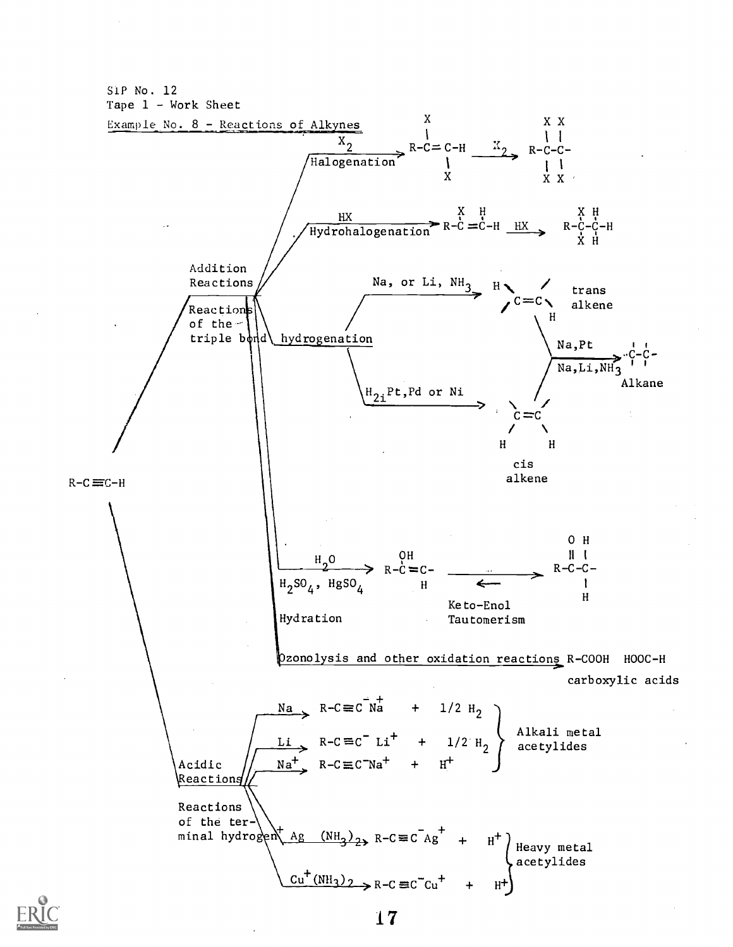

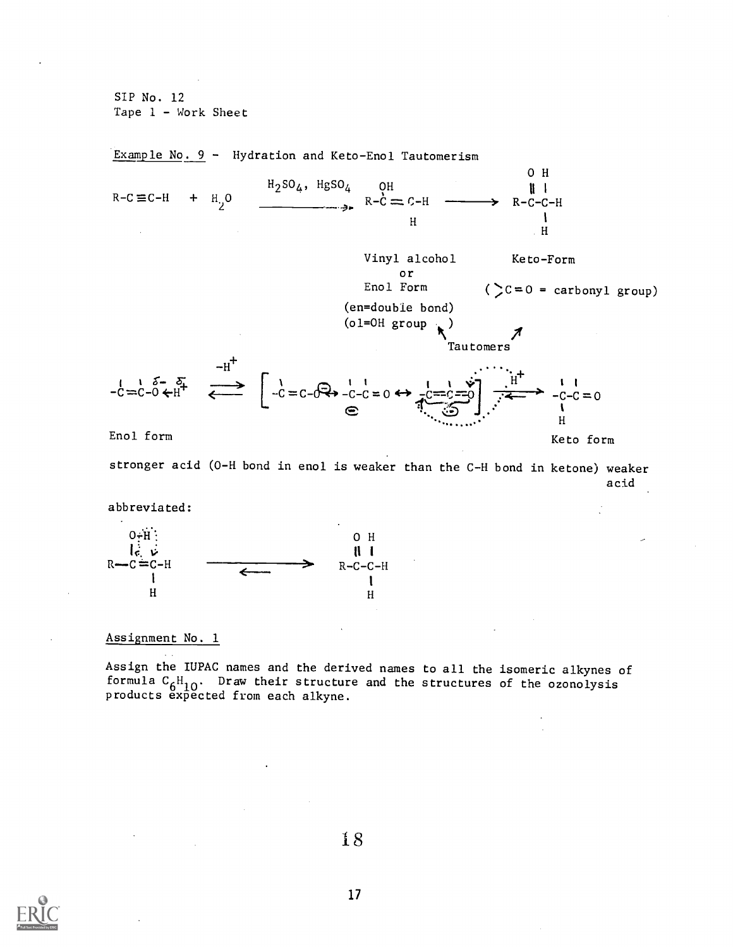Example No.  $9 -$  Hydration and Keto-Enol Tautomerism



stronger acid (0-H bond in enol is weaker than the C-H bond in ketone) weaker acid

abbreviated:



## Assignment No. 1

Assign the IUPAC names and the derived names to all the isomeric alkynes of formula  $c_6H_{10}$ . Draw their structure and the structures of the ozonolysis products expected from each alkyne.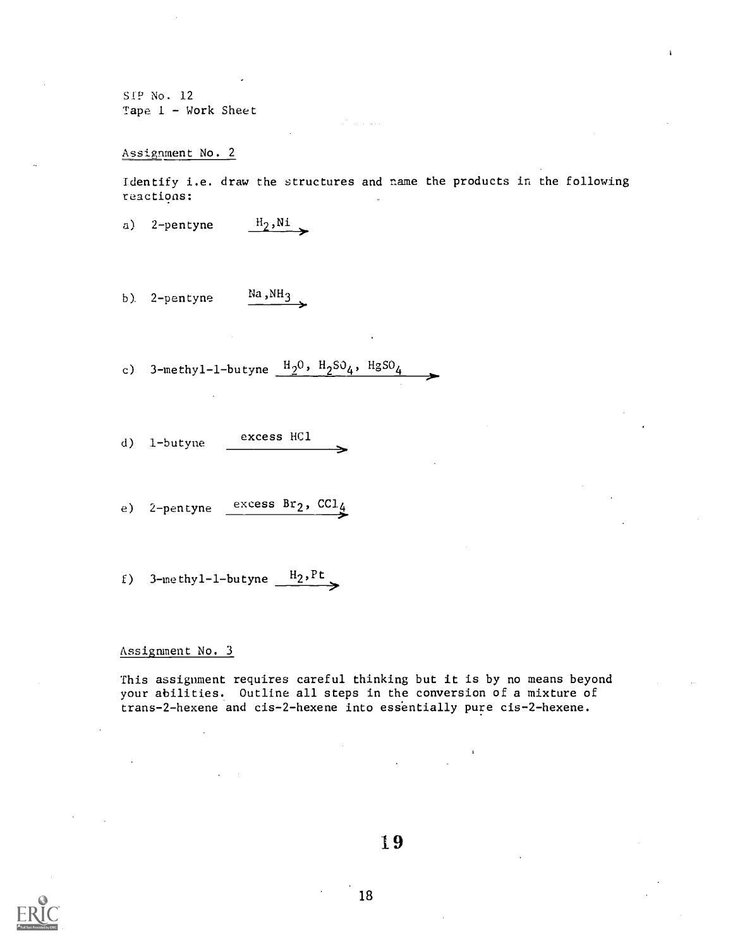#### Assignment No. 2

Identify i.e. draw the structures and name the products in the following reactions:

المتسام المراكب

a) 2-pentyne  $\frac{H_2, N\text{i}}{L}$ 

- b). 2-pentyne  $\frac{Na}{1.1}$ , NH<sub>3</sub>
- c) 3-methyl-l-butyne  $H_2$ <sup>0</sup>,  $H_2$ SO<sub>4</sub>,  $Hg$ SO<sub>4</sub>
- d) 1-butyne excess HC1
- e) 2-pentyne excess Br<sub>2</sub>, CC14
- 3-methyl-1-butyne  $\frac{H_2, Pt}{\sqrt{H_1}}$

## Assignment No. 3

This assignment requires careful thinking but it is by no means beyond your abilities. Outline all steps in the conversion of a mixture of trans-2-hexene and cis-2-hexene into essentially pure cis-2-hexene.

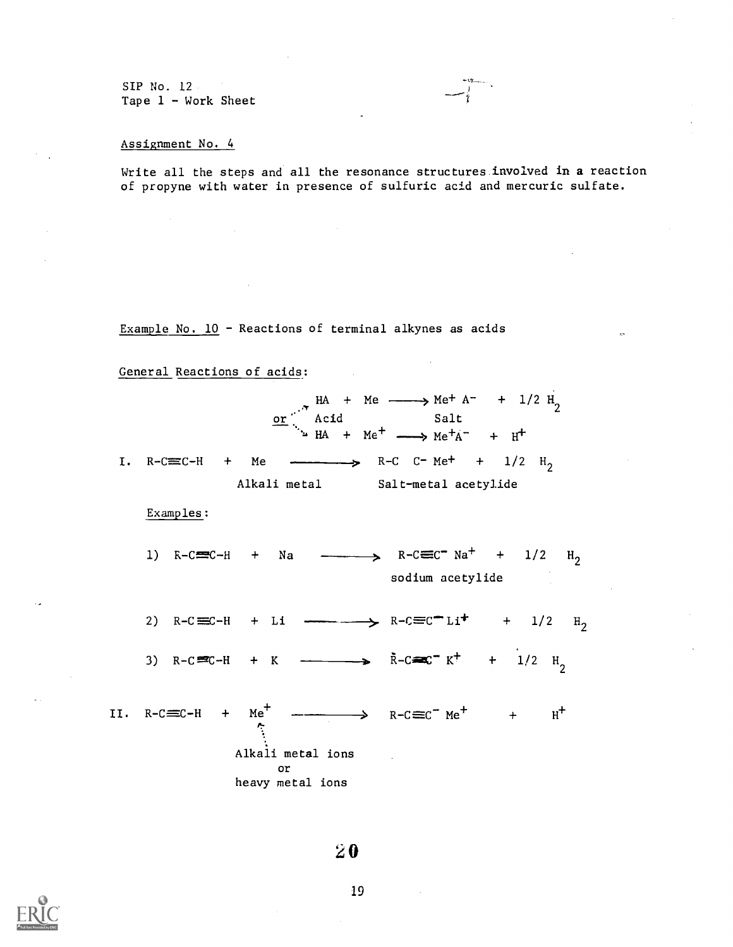Assignment No. 4

Write all the steps and all the resonance structures involved in a reaction of propyne with water in presence of sulfuric acid and mercuric sulfate.

Example No.  $10$  - Reactions of terminal alkynes as acids

General Reactions of acids:

 $HA$  + Me  $\longrightarrow$  Me<sup>+</sup> A<sup>-</sup> + 1/2 H<sub>2</sub> or Acid Salt  $HA + Me^{+} \longrightarrow Me^{+}A^{-} + H^{+}$ I. R-C $\equiv$ C-H + Me  $\rightarrow$  R-C C-Me<sup>+</sup> + 1/2 H<sub>2</sub> Alkali metal Salt-metal acetylide Examples: 1) K-C $=$ C-H + Na  $\longrightarrow$  R-C $=$ C<sup>-</sup>Na<sup>+</sup> + 1/2 H<sub>2</sub> sodium acetylide 2) R-C $\equiv$ C-H + Li  $\longrightarrow$  R-C $\equiv$ C $\sim$ Li<sup>+</sup> + 1/2 H<sub>2</sub> 3) R-C $=$ C-H + K  $\longrightarrow$   $\tilde{R}$ -C $=$ C $=$ K<sup>+</sup> + 1/2 H<sub>2</sub> 2  $\longrightarrow$  R-C $\equiv$ C<sup>-</sup> Me<sup>+</sup> + H<sup>+</sup> II.  $R-C \equiv C-H$  +  $Me^+$  $\tilde{\mathcal{L}}$ Alkali metal ions or heavy metal ions

20

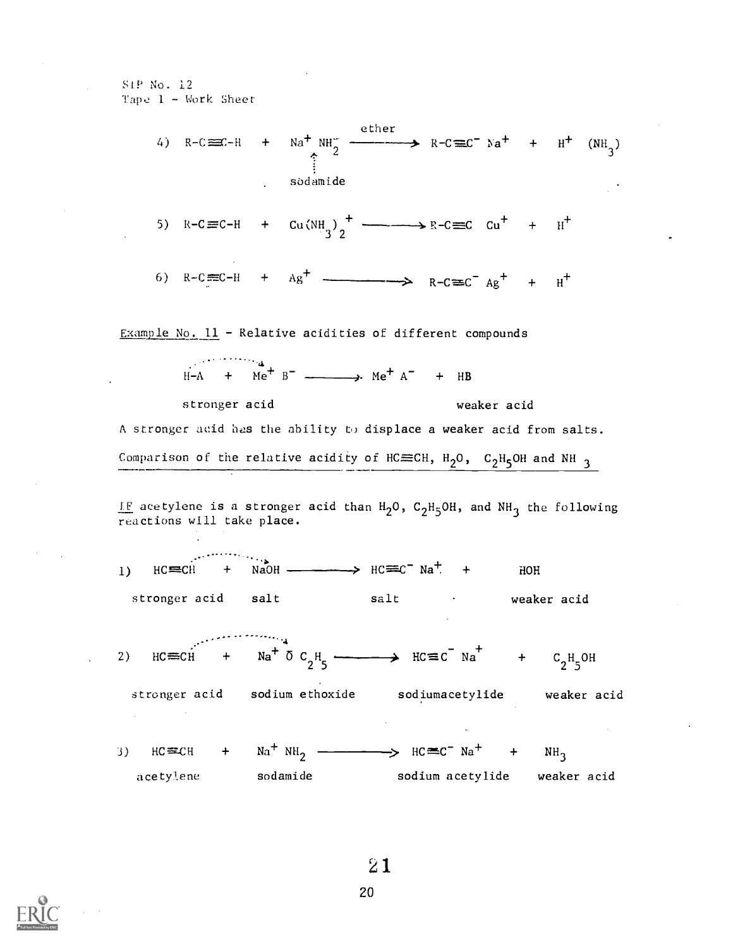

2 1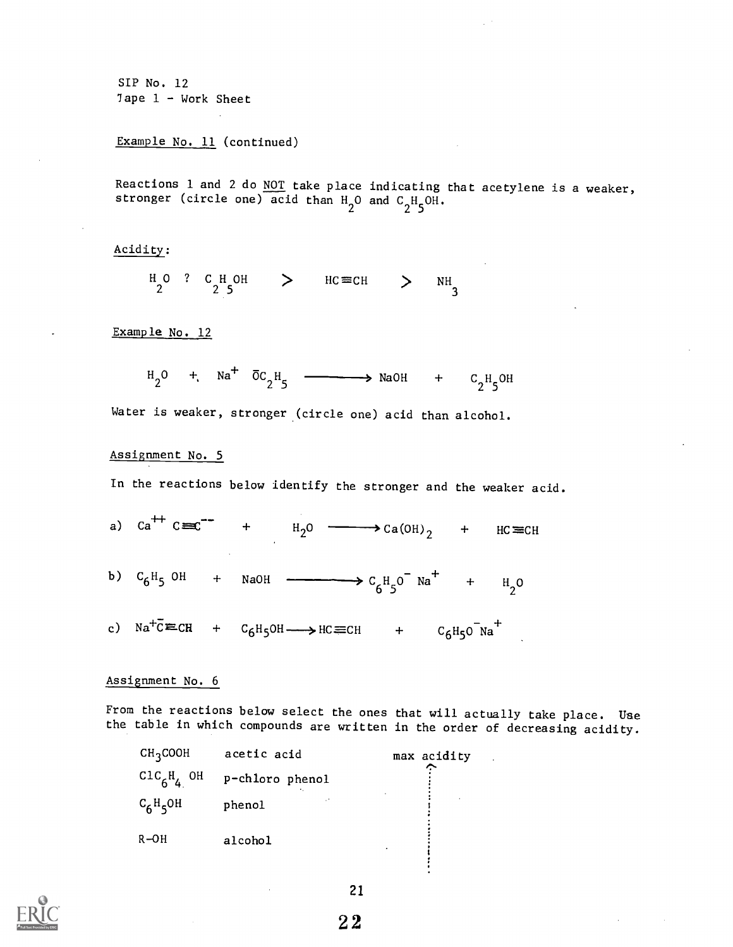Example No. 11 (continued)

Reactions 1 and 2 do NOT take place indicating that acetylene is a weaker, stronger (circle one) acid than  $\rm H_2^{\,O}$  and  $\rm C_2^{\,H_2^{}}OH$ .

Acidity:

 $H_0$  ? C H OH > HC=CH > NH 2  $2\quad 5$  3

Example No. 12

 $H_2^0$  + Na  $O_2^H$ <sub>5</sub>  $\longrightarrow$  NaOH +  $C_2^H$ <sub>5</sub>OH

Water is weaker, stronger (circle one) acid than alcohol.

Assignment No. 5

In the reactions below identify the stronger and the weaker acid.

a)  $Ca^{++}$  C=C<sup>--</sup> +  $H_2O$  ------> $Ca(OH)_2$  + HC=CH b)  $C_6H_5$  OH + NaOH  $\longrightarrow C_6H_5O^+$  Na<sup>+</sup> +  $H_2O$ 

c)  $\text{Na}^+\text{C} \equiv \text{CH}$  +  $\text{C}_6\text{H}_5\text{OH} \longrightarrow \text{HC} \equiv \text{CH}$  +  $\text{C}_6\text{H}_5\text{O} \text{R} \text{H}^+$ 

## Assignment No. 6

From the reactions below select the ones that will actually take place. Use the table in which compounds are written in the order of decreasing acidity.

| CH <sub>3</sub> COOH | acetic acid     | max acidity |  |
|----------------------|-----------------|-------------|--|
| $C1C_{6}H_{4}$ OH    | p-chloro phenol |             |  |
| $C_6H_5OH$           | phenol          |             |  |
| R-OH                 | alcohol         |             |  |
|                      |                 |             |  |



21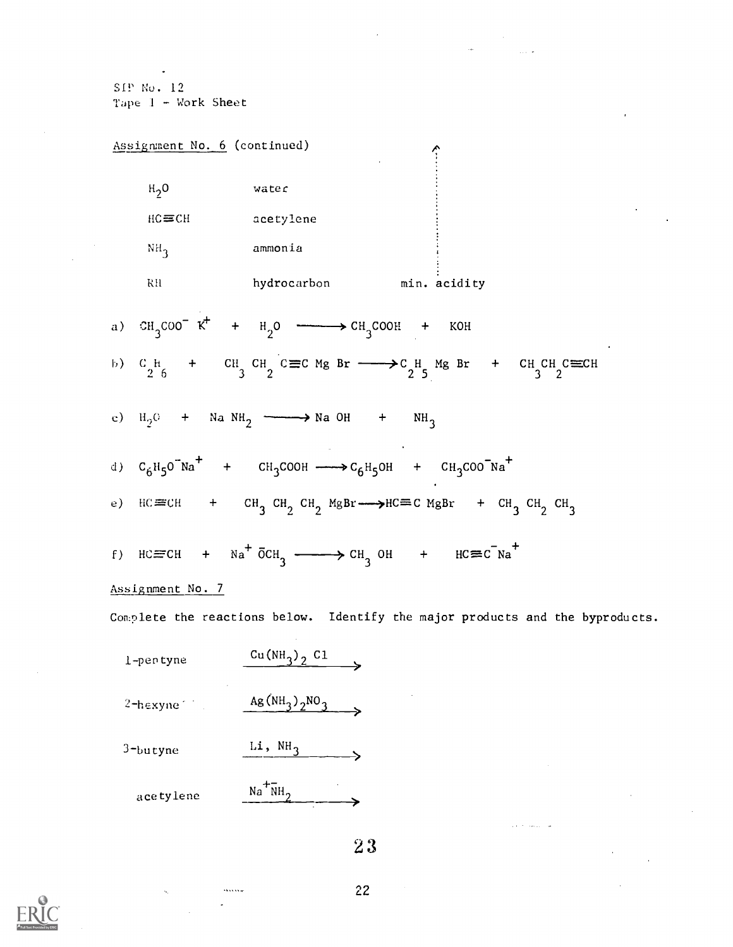SIP No. 12 Tape 1 - Work Sheet

| Assignment No. 6 (continued)                                                                                                        |  |  |  |  |  |  |
|-------------------------------------------------------------------------------------------------------------------------------------|--|--|--|--|--|--|
|                                                                                                                                     |  |  |  |  |  |  |
| $H_2O$<br>water                                                                                                                     |  |  |  |  |  |  |
| $HC = CH$ acetylene                                                                                                                 |  |  |  |  |  |  |
| NH <sub>3</sub><br>ammonia                                                                                                          |  |  |  |  |  |  |
| RH  <br>hydrocarbon min. acidity                                                                                                    |  |  |  |  |  |  |
| a) $CH_3COO^ K^+$ + $H_2O$ $\longrightarrow CH_3COOH$ + KOH                                                                         |  |  |  |  |  |  |
| b) $C_{26}$ + CH CH $C \equiv C$ Mg Br $\longrightarrow C_{25}$ Mg Br + CH CH CE CH                                                 |  |  |  |  |  |  |
| c) $H_2$ <sup>O</sup> + Na NH <sub>2</sub> $\longrightarrow$ Na OH + NH <sub>3</sub>                                                |  |  |  |  |  |  |
| d) $C_6H_5O^H$ Na <sup>+</sup> + CH <sub>3</sub> COOH $\longrightarrow C_6H_5OH$ + CH <sub>3</sub> COO <sup>-</sup> Na <sup>+</sup> |  |  |  |  |  |  |
| e) HC=CH + CH <sub>3</sub> CH <sub>2</sub> CH <sub>2</sub> MgBr ->HC=C MgBr + CH <sub>3</sub> CH <sub>2</sub> CH <sub>3</sub>       |  |  |  |  |  |  |
| F) $HC=CH + Na^+ \overline{O}CH_3 \longrightarrow CH_3 OH + HC= \overline{C}Na^+$                                                   |  |  |  |  |  |  |
| Assignment No. 7                                                                                                                    |  |  |  |  |  |  |

Complete the reactions below. Identify the major products and the byproducts.

 $\frac{\text{Cu(NH}_3)}{2 \cdot \text{C1}}$ 1-pentyne Ag(NH<sub>3</sub>)<sub>2</sub>NO<sub>3</sub> 2-hexyae  $\frac{\text{Li}, \text{NH}_3}{\text{H} \cdot \text{H} \cdot \text{H} \cdot \text{H} \cdot \text{H} \cdot \text{H} \cdot \text{H}}$ 3-butyne  $Na<sup>+</sup>MH<sub>2</sub>$ acetylene ↘

 $\ddotsc \dotsc$ 

22

2 3

and the second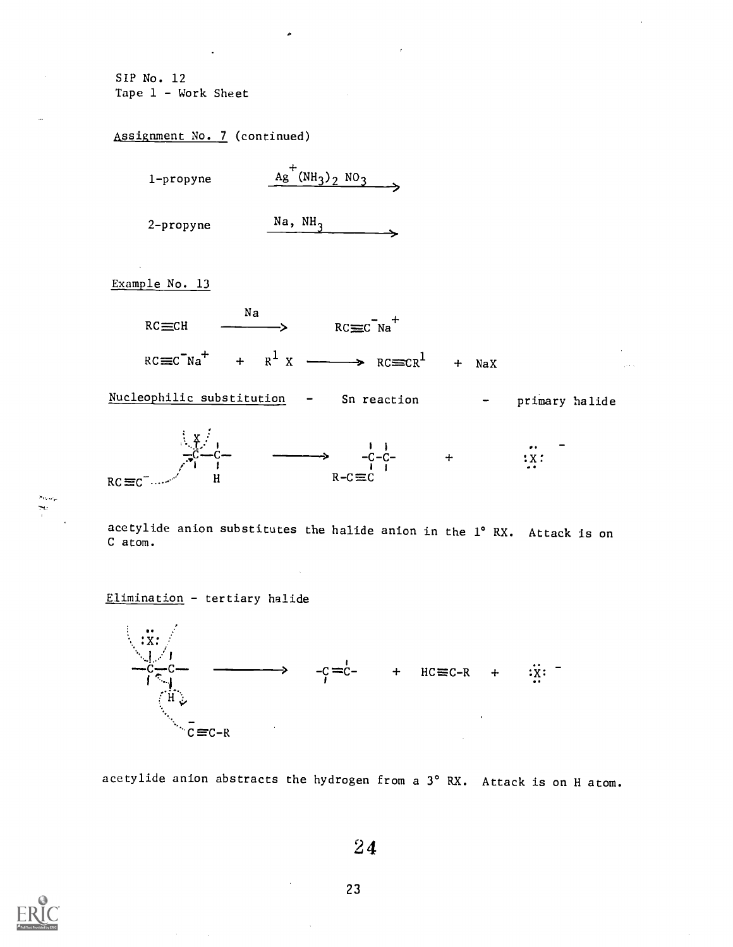Assignment No. 7 (continued)

1 -propyne 2 -propyne  $Ag^{\text{+}}(NH_3)_{2}$  NO<sub>3</sub> Na,  $NH<sub>3</sub>$ 

Example No. 13

 $\overset{\text{Na}}{\longrightarrow}$  $RC \equiv C^{\dagger} Na^{\dagger}$  $RC \equiv CH$  $+$   $R^1$  x  $\longrightarrow$   $RC\equiv CR^1$  + NaX  $RC \equiv C$  $Na$ <sup>+</sup> Nucleophilic substitution - Sn reaction - primary halide  $+$  $:X:$  $\sqrt{1}$  I I  $R - C \equiv C$  $\mathbf H$  $RC \equiv C$ 

 $S_{\rm FDM}$ يى<del>ن</del>

> acetylide anion substitutes the halide anion in the 1° RX. Attack is on C atom.

Elimination - tertiary halide



acetylide anion abstracts the hydrogen from a  $3^\circ$  RX. Attack is on H atom.

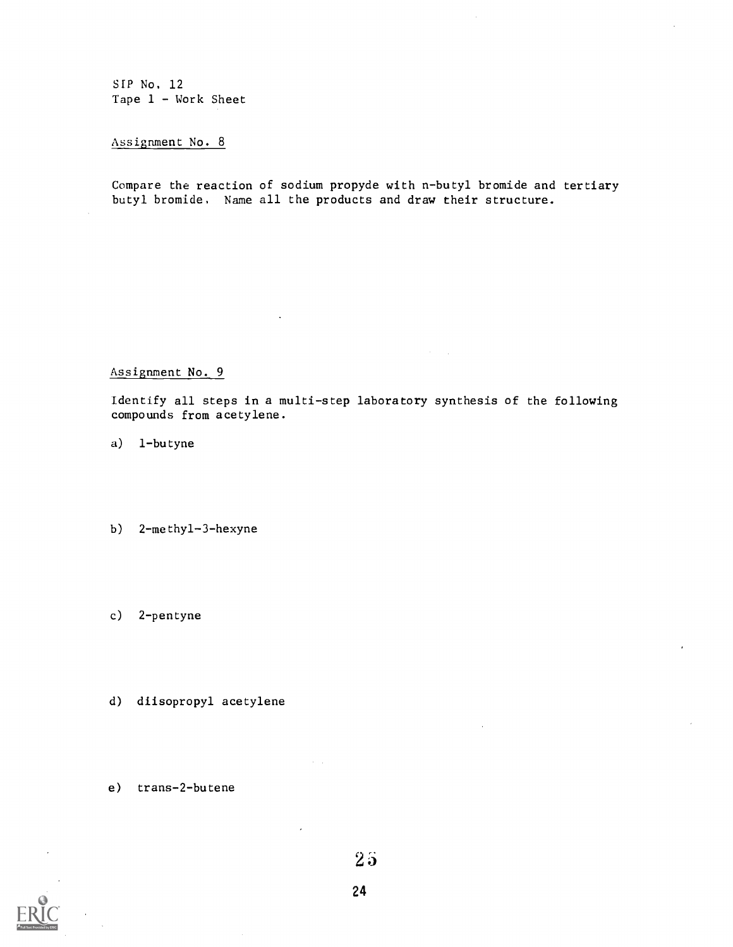Assignment No. 8

Compare the reaction of sodium propyde with n-butyl bromide and tertiary butyl bromide. Name all the products and draw their structure.

Assignment No. 9

Identify all steps in a multi-step laboratory synthesis of the following compounds from acetylene.

a) 1-butyne

b) 2-methy1-3-hexyne

c) 2-pentyne

d) diisopropyl acetylene

e) trans-2-butene



 $25<sub>2</sub>$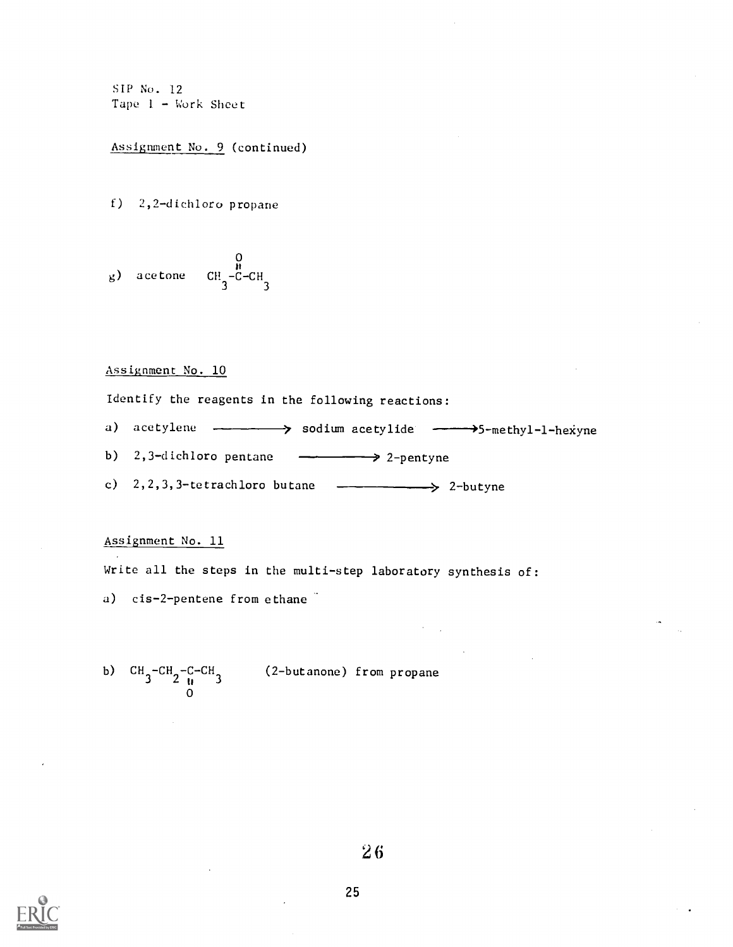Assignment No. 9 (continued)

f)  $2,2$ -dichloro propane

g) 
$$
\operatorname{ace\,one} \quad \operatorname{CH}_{3} \stackrel{\mathbf{0}}{-\mathbf{C}-\mathbf{CH}}_{3}
$$

## Assignment No. 10

Identify the reagents in the following reactions:

- a) acetylene  $\longrightarrow$  sodium acetylide  $\longrightarrow$ 5-methyl-l-hexyne
- b) 2,3-dichloro pentane  $\longrightarrow$  2-pentyne
- c)  $2, 2, 3, 3$ -tetrachloro butane  $\longrightarrow$  2-butyne

## Assignment No. 11

Write all the steps in the multi-step laboratory synthesis of:

- a) cis-2-pentene from ethane
- b)  $CH_3-CH_2-C-CH_3$  (2 0

(2-butanone) from propane

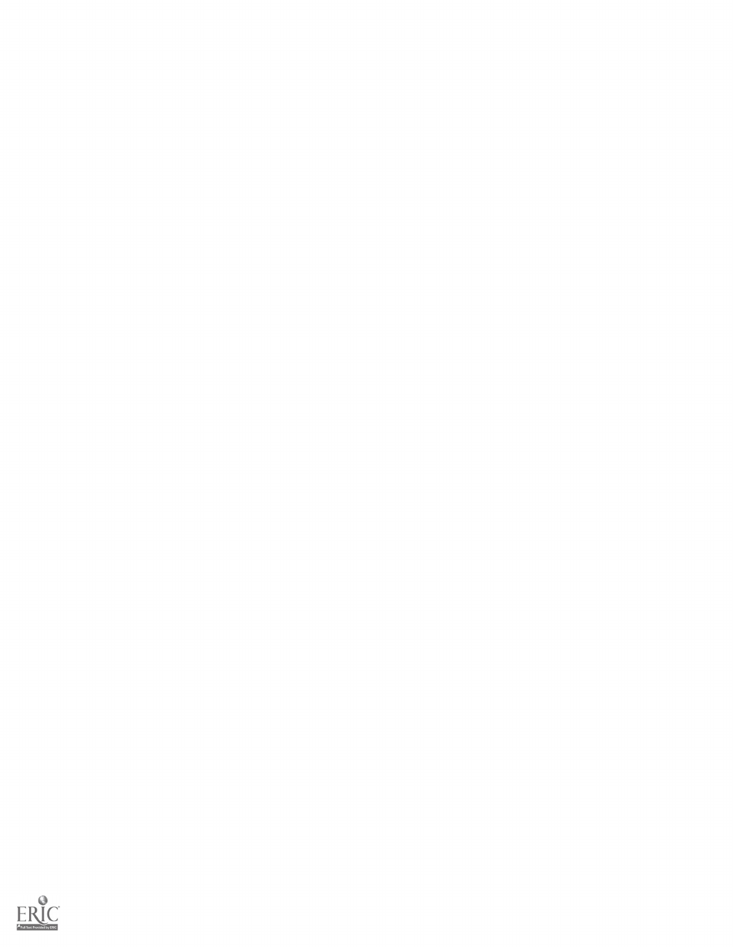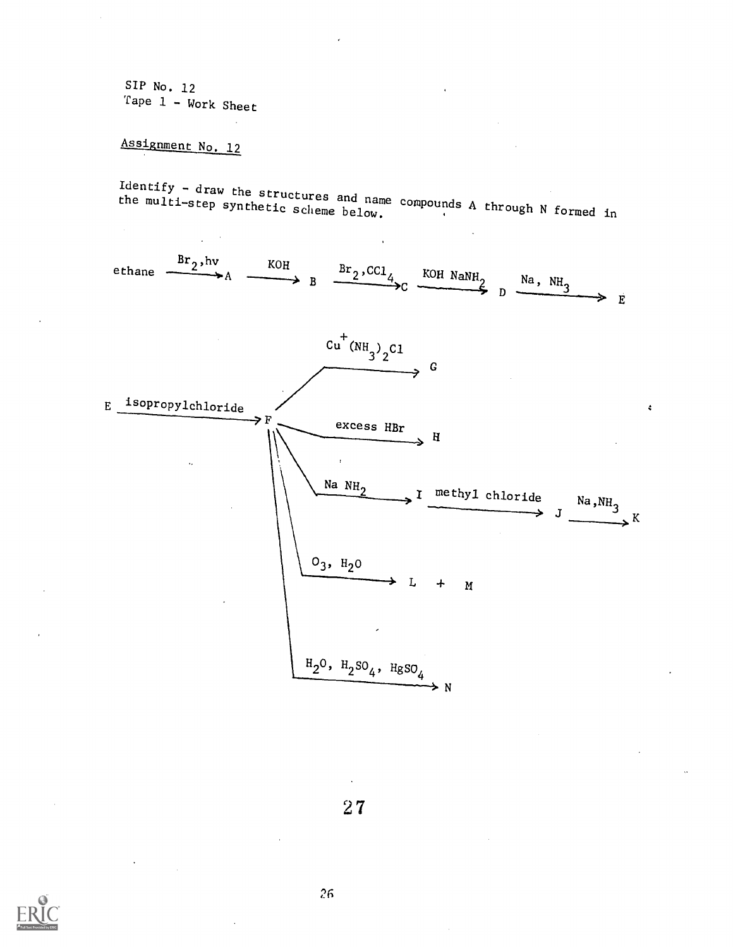SIP No. 12 Tape 1 - Work Sheet

 $\mathcal{A}$ 

# Assignment No. 12

Identify - draw the structures and name compounds A through N formed in the multi-step synthetic scheme below.





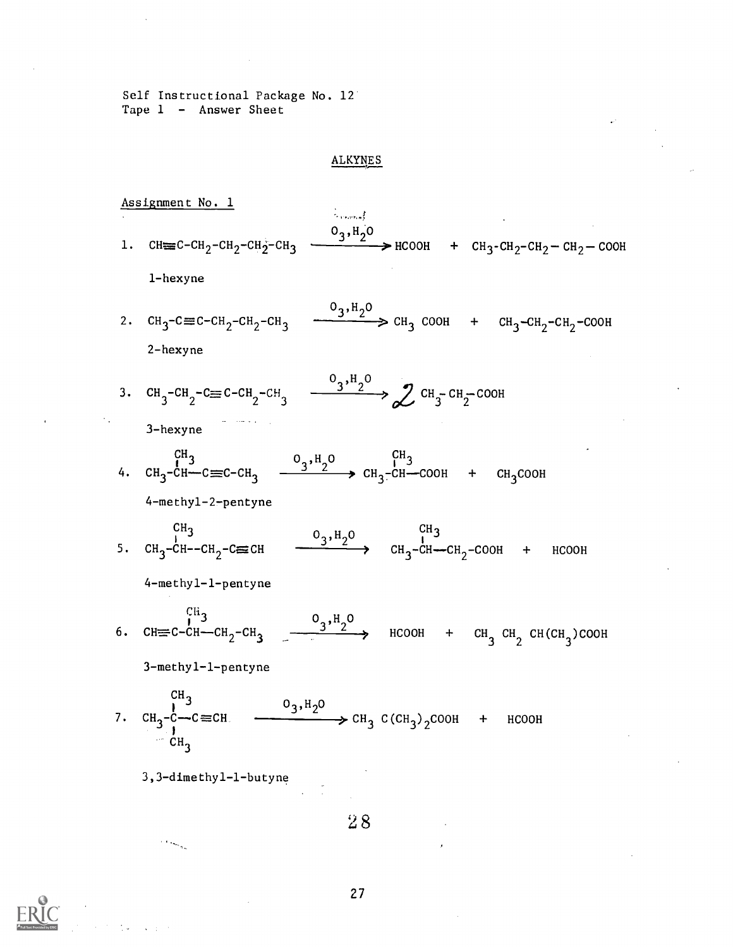Self Instructional Package No. 12 Tape 1 - Answer Sheet

 $\sim$   $\alpha$ 

 $\ddot{\phantom{0}}$ 

 $\bar{z}$ 

# ALKYNES

 $\omega^2$ 

Assignment No. 1 1. CftEC-CH2-CH - 1 -hexyne 0 3'H 20 HCOOH + CH3-CH2-CH2 CH2 COOH 0 3' H <sup>2</sup><sup>0</sup> 2. CH <sup>3</sup>-C=C-CH <sup>2</sup>-CH <sup>2</sup> -CH 3 >CH 3 COOH + CH 3 -CH <sup>2</sup> -CH <sup>2</sup> -COOH 2-hexyne 3. CH3-CH2-CEEC-CH2-CH3 3-hexyne 0 3' H <sup>2</sup> <sup>0</sup> >oz CH 3 -CH CON 2 CH CH <sup>1</sup> <sup>3</sup> 0 3 ,H <sup>2</sup><sup>0</sup> <sup>1</sup> <sup>3</sup> 4. CH 3 -CH--CsEC-CH 3 CH 3 -CH--COOH + CH 3 COOH 4-methy1-2-pentyne CH<sup>3</sup> <sup>0</sup> 3' H 2 <sup>0</sup> CH3 1 1 5. CH 3 -CH--CH <sup>2</sup> -CELICH <sup>&</sup>gt; CH 3 -CH--CH <sup>2</sup> -COOH <sup>+</sup> HCOOH 4-methyl-l-pentyne CH 3 <sup>1</sup> 6. CHTiF.0 -CH --CH 2-CH 3 3-methy1-1-pentyne CH 3 1 7. CH -C--CssCH, 1CH 3 0 3' H 2<sup>0</sup> >0 HCOOH + CH 3 CH <sup>2</sup> CH(CH 3)COOH 0 3, <sup>H</sup> <sup>2</sup><sup>0</sup> 3,3-dimethyl-l-butyne CH <sup>3</sup> C(CH 3 ) <sup>2</sup> COOH + HCOOH 2 8



 $\frac{1}{2}$  .

 $\Delta \sim 10^4$ 

27

 $\mathcal{A}^{\mathcal{A}}$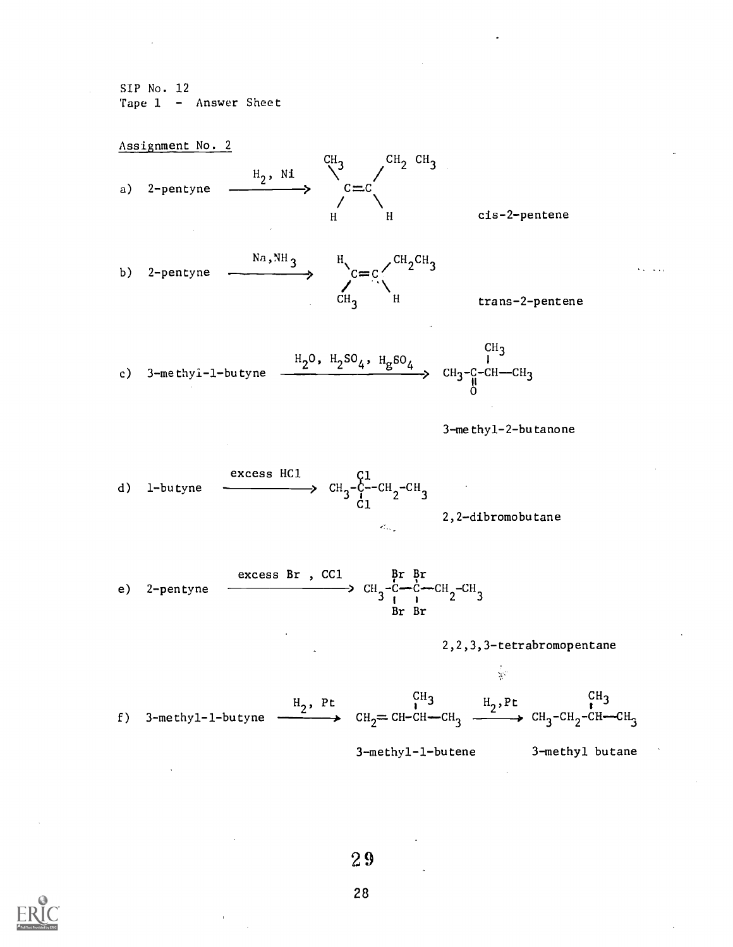

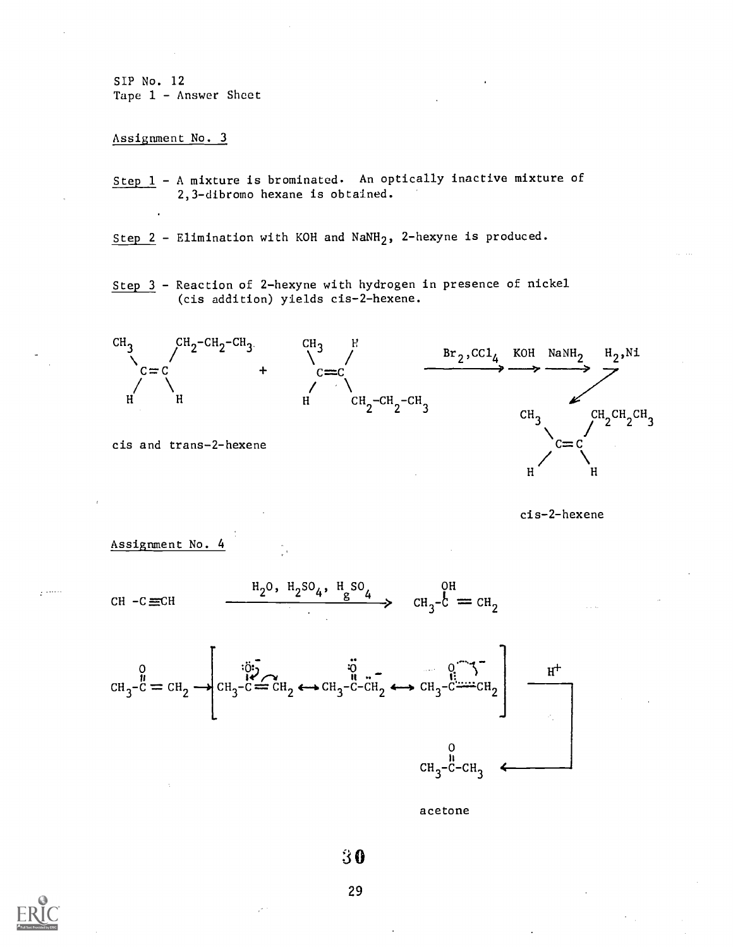Assignment No. 3

Step  $1$  - A mixture is brominated. An optically inactive mixture of 2,3-dibromo hexane is obtained.

Step 2 - Elimination with KOH and NaNH<sub>2</sub>, 2-hexyne is produced.

Step 3 - Reaction of 2-hexyne with hydrogen in presence of nickel (cis addition) yields cis-2-hexene.



cis-2-hexene

Assignment No. 4

 $CH - C \equiv CH$  $\text{H}_2\text{O}$ ,  $\text{H}_2\text{SO}_L$ ,  $\text{H}_1$  SO,  $\text{OH}$  $\triangleright$   $CH_3^-C = CH_2$ 



acetone

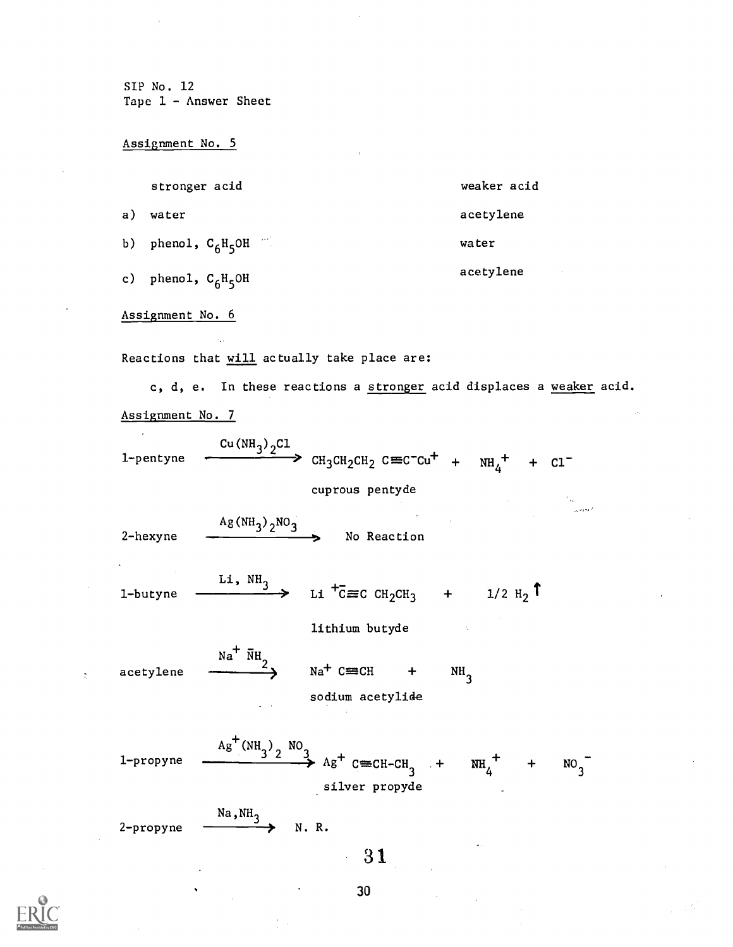Assignment No. 5

|    | stronger acid                               | weaker acid |
|----|---------------------------------------------|-------------|
| a) | water                                       | acetylene   |
|    | b) phenol, $C_6H_5OH$                       | water       |
|    | c) phenol, C <sub>6</sub> H <sub>5</sub> OH | acetylene   |

Assignment No. 6

Reactions that will actually take place are:

c, d, e. In these reactions a stronger acid displaces a weaker acid. Assignment No. 7

1 -pentyne Cu (NH<sub>3</sub>)<sub>2</sub>C1  $\geq$  CH<sub>3</sub>CH<sub>2</sub>CH<sub>2</sub> C=C<sup>-</sup>Cu<sup>+</sup> + NH<sub>4</sub><sup>+</sup> + Cl<sup>-</sup> cuprous pentyde  $Ag(NH_3)2NO_3$ 2-hexyne  $\longrightarrow$  No Reaction 1-butyne acetylene 1-propyne Li,  $NH<sub>3</sub>$  $Na^+$   $\bar{N}$ H<sub>2</sub>  $\rightarrow$  Na<sup>+</sup> C $\equiv$ CH + NH<sub>2</sub>  $\rightarrow$  Li <sup>+</sup>C=C CH<sub>2</sub>CH<sub>3</sub> + 1/2 H<sub>2</sub> 1 lithium butyde 3 sodium acetylide  $Ag^+(NH_3)$  2 NO<sub>3</sub>  $Ag^+$  c=cH-CH<sub>3</sub> + NH<sub>4</sub><sup>+</sup> + +  $+$  NO<sub>3</sub> silver propyde  $\overset{\text{Na}, \text{NH}}{\longrightarrow}$  N. R. 2-propyne 31



 $\mu$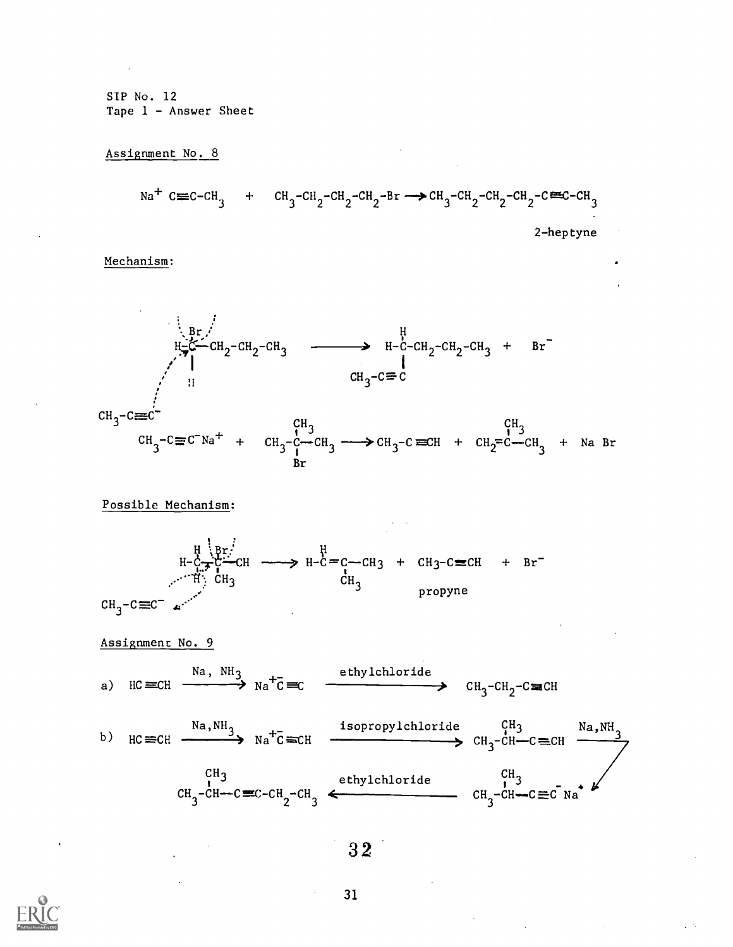Assignment No. 8

$$
\text{Na}^+ \text{ C} \equiv \text{C} - \text{CH}_3 + \text{CH}_3 - \text{CH}_2 - \text{CH}_2 - \text{CH}_2 - \text{CH}_3 - \text{CH}_3 - \text{CH}_2 - \text{CH}_2 - \text{CH}_2 - \text{CH}_3
$$
\n
$$
\text{2-heptyne}
$$

 $\ddot{\phantom{0}}$ 

Mechanism:

 $\sim$ 

$$
CH_{3}-C \equiv C^{-}Na^{+} + CH_{3}-CH_{3} \longrightarrow CH_{3}-C \equiv CH + CH_{2}-CH_{3} + Br^{-}
$$
\n
$$
CH_{3}-C \equiv C^{-}Na^{+} + CH_{3}-C^{+}CH_{3} \longrightarrow CH_{3}-C \equiv CH + CH_{2}-C+_{3} + Na Br
$$
\n
$$
CH_{3}-C \equiv C^{-}Na^{+} + CH_{3}-C^{+}CH_{3} \longrightarrow CH_{3}-C \equiv CH + CH_{2}-C+_{3} + Na Br
$$

Possible Mechanism:

$$
H - \frac{1}{C} \rightarrow H - C = C - CH_3 + CH_3 - C = CH + Br^{-}
$$
\n
$$
CH_3 - C = C^-
$$
\n
$$
CH_3 - C = C^-
$$

Assignment No. 9

a) HC 
$$
\equiv
$$
CH  $\xrightarrow{\text{Na, NH}_3}$  Na<sup>+</sup>C  $\equiv$ C  $\xrightarrow{\text{Sopropylchloride}}$  CH<sub>3</sub>-CH<sub>2</sub>-C $\equiv$ CH  $\xrightarrow{\text{Na, NH}_3}$  Na<sup>+</sup>C  $\equiv$ CH  $\xrightarrow{\text{Sopropylchloride}}$  CH<sub>3</sub>-CH-C $\equiv$ CH  $\xrightarrow{\text{CH}_3}$  CH<sub>3</sub>-CH-C $\equiv$ C H<sub>3</sub>  $\xrightarrow{\text{CH}_3$ -CH-C $\equiv$ C-H<sub>2</sub>-CH  $\xrightarrow{\text{CH}_3}$  CH<sub>3</sub>-CH-C $\equiv$ C Na<sup>+</sup>

 $32<sub>2</sub>$ 

 $\hat{\mathcal{A}}$ 

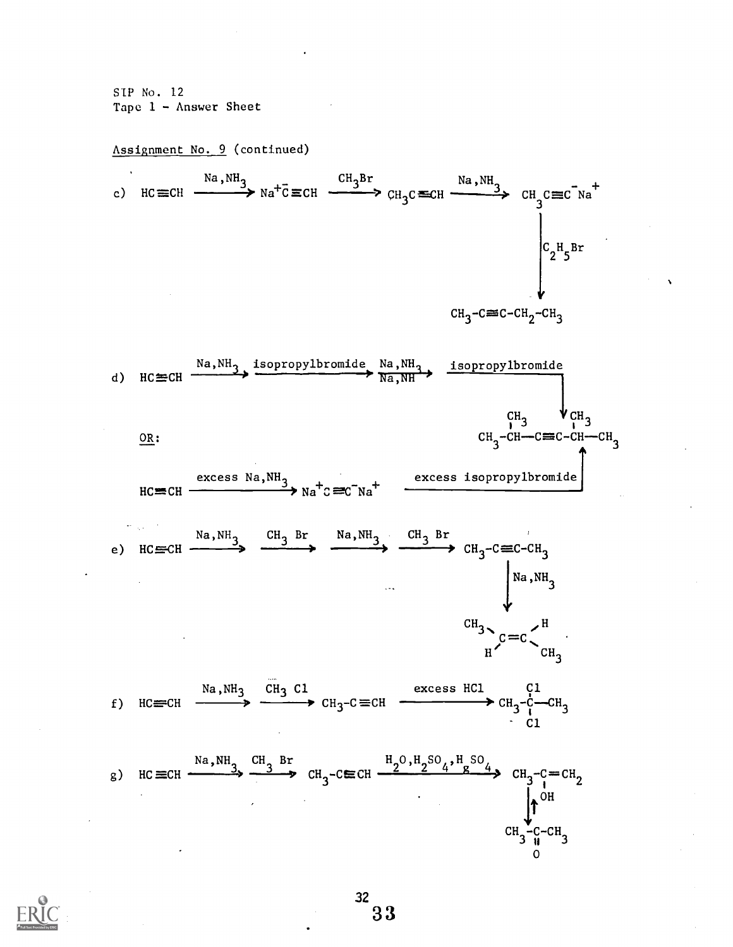SEP No. 12 Tape 1 - Answer Sheet



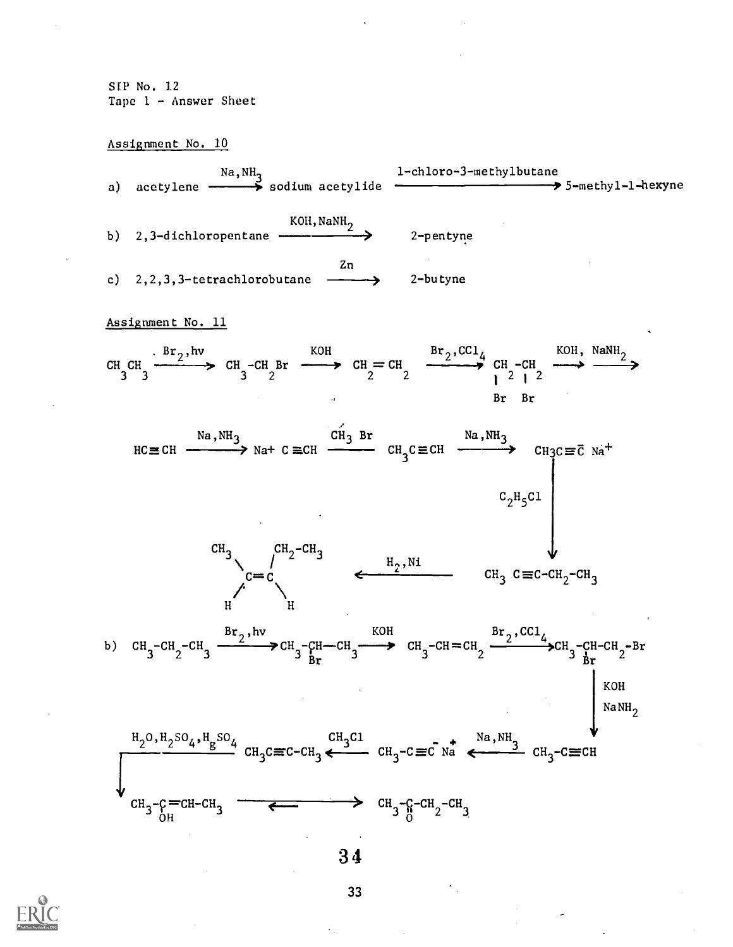SIP No. 12 Tape - Answer Sheet



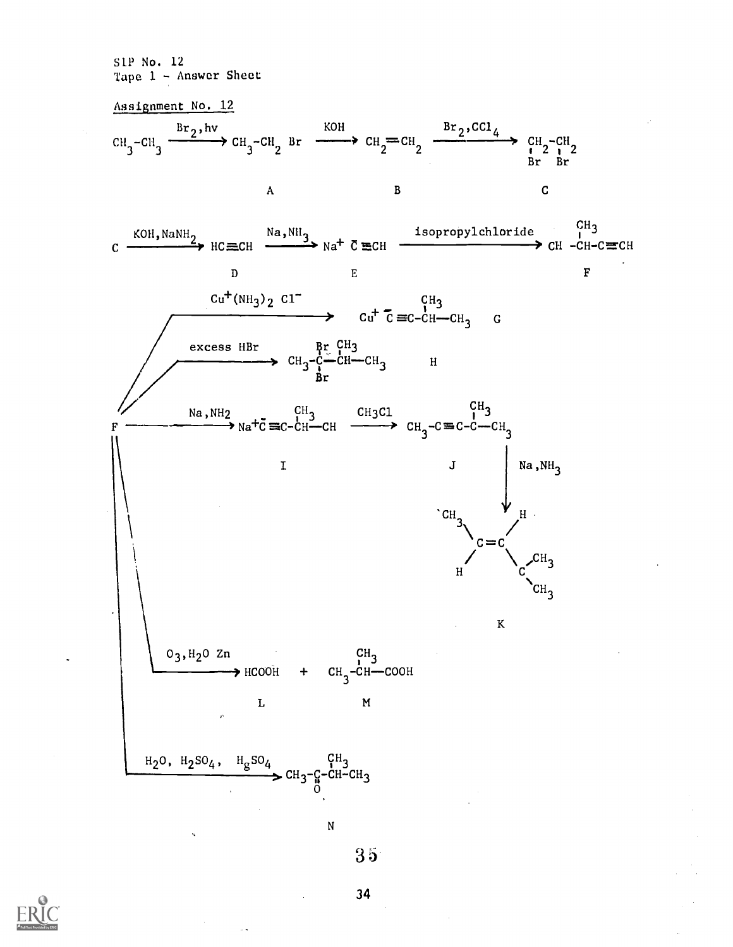

3 6

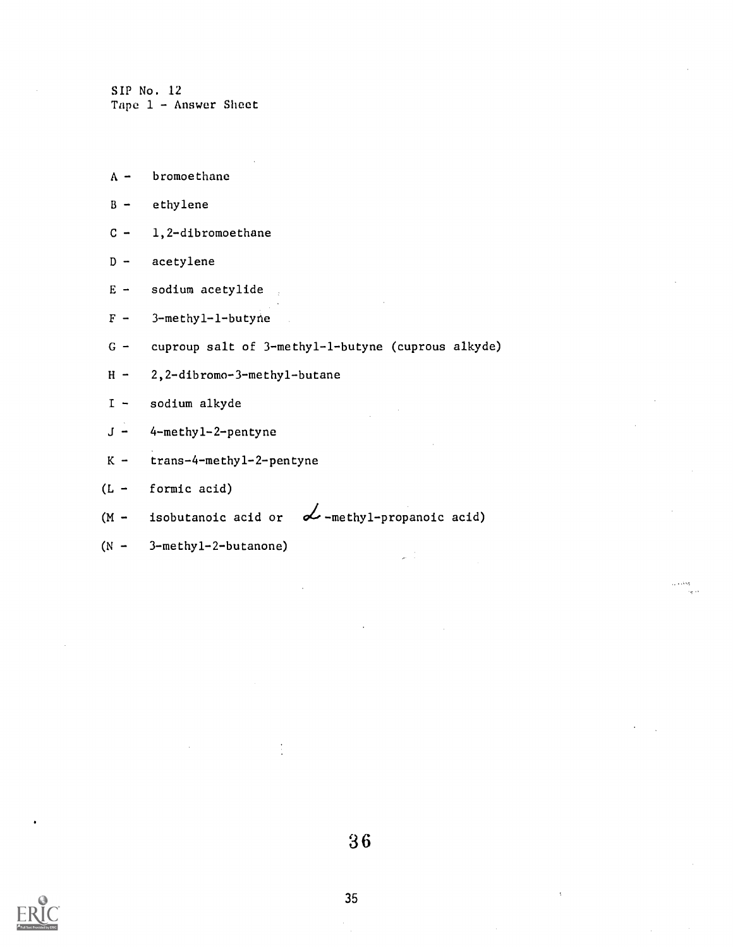- A bromoethane
- B ethylene
- C 1,2-dibromoethane
- D acetylene
- E sodium acetylide
- $F 3$ -methyl-1-butyne
- G cuproup salt of 3-methyl-1-butyne (cuprous alkyde)
- H 2, 2-dibromo-3-methyl-butane
- I sodium alkyde
- J 4-methy1-2-pentyne
- K trans-4-methy1-2-pentyne
- $(L -$  formic acid)
- $(M -$  isobutanoic acid or  $\alpha$ -methyl-propanoic acid)
- $(N 3$ -methy1-2-butanone)

.<br>Sekara والهودان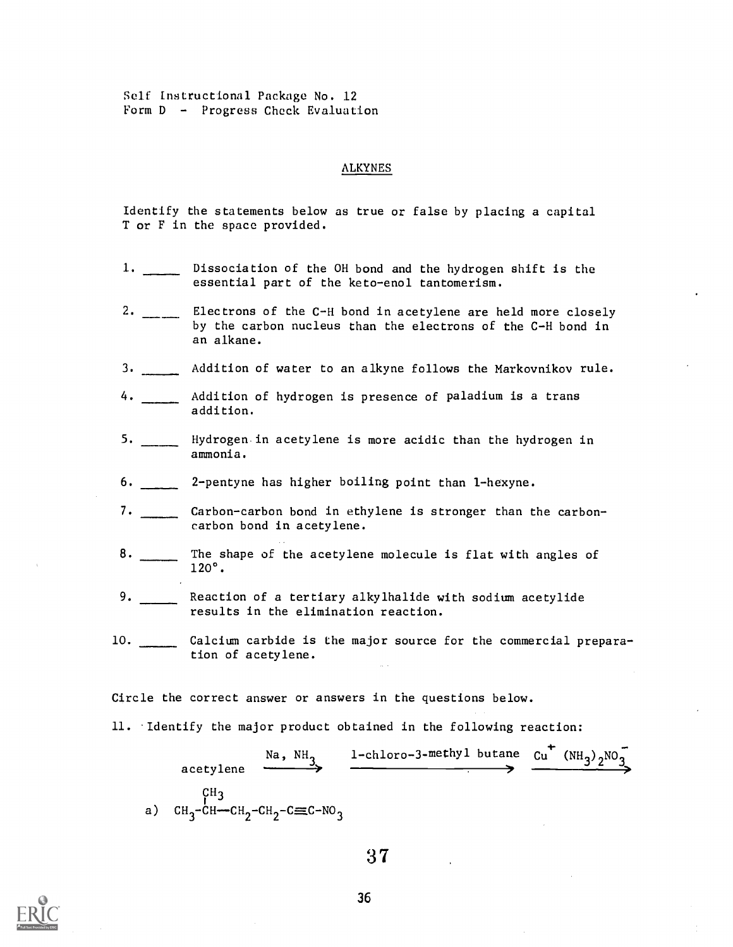Self Instructional Package No. 12 Form D - Progress Check Evaluation

#### ALKYNES

Identify the statements below as true or false by placing a capital T or F in the space provided.

- 1. Dissociation of the OH bond and the hydrogen shift is the essential part of the keto-enol tantomerism.
- 2. \_\_\_\_\_ Electrons of the C-H bond in acetylene are held more closely by the carbon nucleus than the electrons of the C-H bond in an alkane.
- 3. Addition of water to an alkyne follows the Markovnikov rule.
- 4. Addition of hydrogen is presence of paladium is a trans addition.
- 5. Hydrogen in acetylene is more acidic than the hydrogen in ammonia.
- 6. 2-pentyne has higher boiling point than 1-hexyne.
- 7. Carbon-carbon bond in ethylene is stronger than the carboncarbon bond in acetylene.
- 8. The shape of the acetylene molecule is flat with angles of  $120^\circ$ .
- 9. Reaction of a tertiary alkylhalide with sodium acetylide results in the elimination reaction.
- 10. Calcium carbide is the major source for the commercial preparation of acetylene.

Circle the correct answer or answers in the questions below.

11. .Identify the major product obtained in the following reaction:

Na, NH<sub>2</sub> 1-chloro-3-methyl butane  $\text{Cu}^+$  (NH<sub>2</sub>)<sub>2</sub>NO<sub>2</sub> acetylene  $\hspace{0.1cm}\longrightarrow\hspace{0.1cm}$  $CH<sub>3</sub>$ a)  $CH_3$ -CH--CH<sub>2</sub>-CH<sub>2</sub>-C $\equiv$ C-NO<sub>3</sub> 3

3 7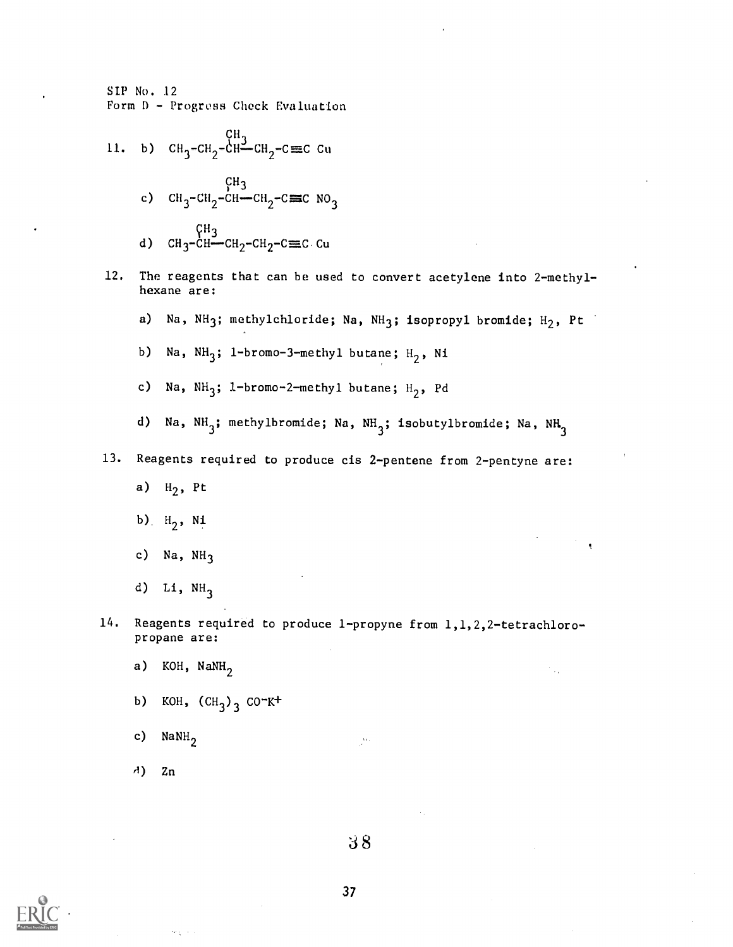SIP No. 12

Form D - Progress Check Evaluation

11. b) 
$$
CH_3-CH_2-CH-CH_2-CH=CH_2-CEC
$$
 Cu  
\n $CH_3$   
\nc)  $CH_3-CH_2-CH-CH_2-CEC$  NO<sub>3</sub>  
\n $CH_3$   
\nd)  $CH_3-CH-CH_2-CH_2-CEC$  Cu

- 12. The reagents that can be used to convert acetylene into 2-methylhexane are:
	- a) Na,  $NH_3$ ; methylchloride; Na,  $NH_3$ ; isopropyl bromide;  $H_2$ , Pt
	- b) Na,  $NH_3$ ; 1-bromo-3-methyl butane;  $H_2$ , Ni
	- c) Na,  $NH_3$ ; 1-bromo-2-methyl butane;  $H_2$ , Pd
	- d) Na,  $NH_3$ ; methylbromide; Na, NH<sub>3</sub>; isobutylbromide; Na, NH<sub>3</sub> 3

13. Reagents required to produce cis 2-pentene from 2-pentyne are:

- a)  $H_2$ , Pt
- b),  $H_2$ , Ni
- c) Na,  $NH<sub>3</sub>$
- d) Li,  $NH<sub>3</sub>$
- 14. Reagents required to produce 1-propyne from 1,1,2,2-tetrachloropropane are:
	- a) KOH,  $N \text{a}NH_{2}$
	- b) KOH,  $(CH_3)_3$  CO-K<sup>+</sup>
	- c)  $N \text{a} NH_{2}$ 2

m.

 $A$ ) Zn



38

بعد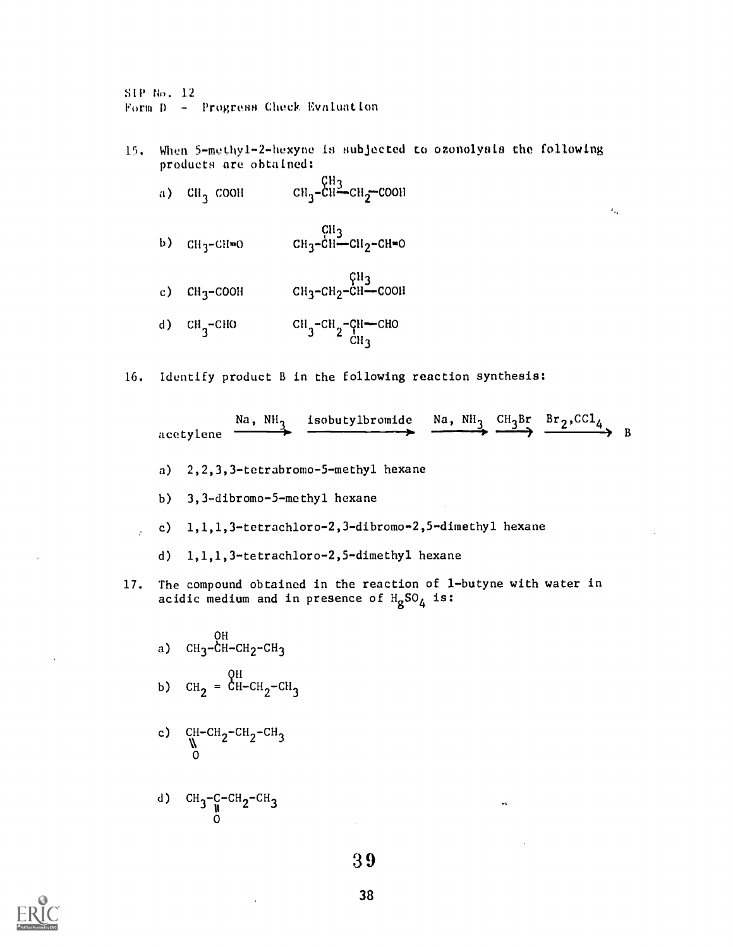SIP No. 12 Form D - Progress Cheek Evaluation

15. When 5-methyl-2-hexyne is subjected to ozonolysis the following products arc obtained:

 $\epsilon_{\rm q}$ 

a) 
$$
CH_3
$$
 coOH  $CH_3$ -CH<sup>2</sup>-CH<sup>2</sup>-COOH

- $\text{CH}_3$  CH<sub>3</sub>-CH=O CH<sub>3</sub>-CH--CH<sub>2</sub>-CH=O
- c)  $CH_3$ -COOH  $CH_3$ -CH<sub>2</sub>-CH<sub>2</sub>-CH--COOH
- d) CH<sub>3</sub>-CHO CH<sub>3</sub>-CH<sub>3</sub>-CH--CHO  $CH<sub>3</sub>$
- 16. Identify product B in the following reaction synthesis:

Na, NH<sub>3</sub> isobutylbromide Na, NH<sub>3</sub> CH<sub>3</sub>Br Br $_2$ ,CCl<sub>4</sub>  $\overrightarrow{a}$  acetylene  $\longrightarrow$   $\longrightarrow$   $\longrightarrow$   $\longrightarrow$   $\longrightarrow$   $\longrightarrow$  B

- a) 2,2,3,3-tetrabromo-5-methyl hexane
- b) 3,3-dibromo-5-methyl hexane
- c) 1,1,1,3-tetrachloro-2,3-dibromo-2,5-dimethyl hexane
- d) 1,1,1,3-tetrachloro-2,5-dimethyl hexane
- 17. The compound obtained in the reaction of 1-butyne with water in acidic medium and in presence of  $H_gSO_4$  is:

$$
CH_3-CH-CH_2-CH_3
$$

b) 
$$
CH_2 = CH - CH_2 - CH_3
$$

c) 
$$
\begin{array}{cc}\n\text{CH--CH}_{2} & -\text{CH}_{2} & -\text{CH}_{3} \\
\text{N} & 0 & \text{V}\n\end{array}
$$

d) 
$$
CH_3-C-CH_2-CH_3
$$
  
o



3 9

 $\hat{\mathbf{w}}$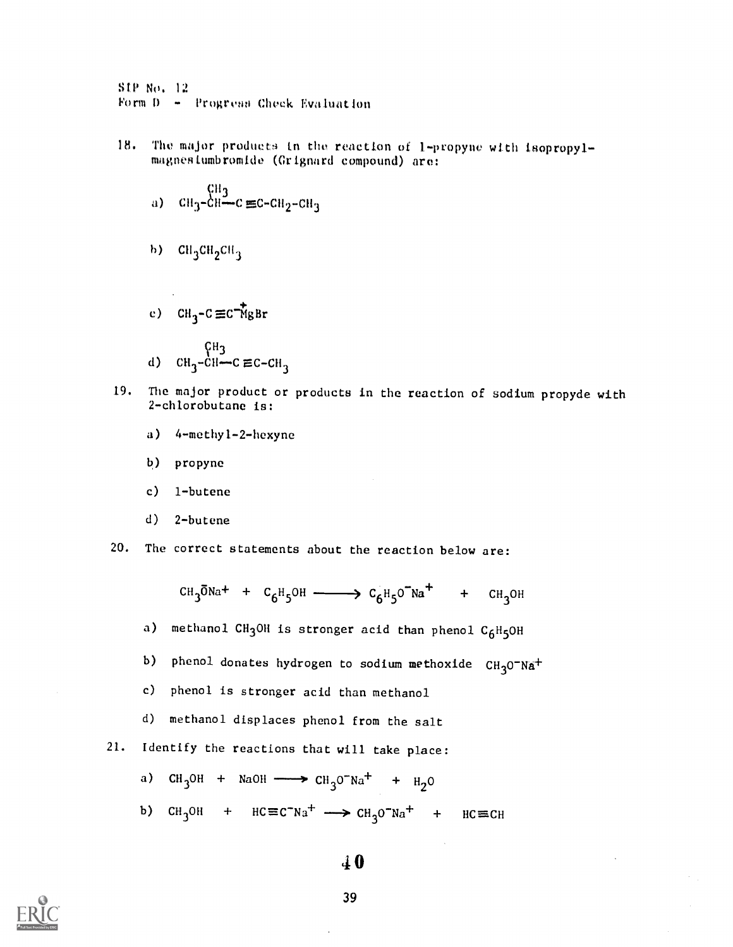SIP No. 12 Form 0 - Progreno Check Evaluation

- 18. The major products in the reaction of 1-propyne with isopropylmagneatumbromide (Grignard compound) are:
	- a)  $CH_3$ -CH--C $\equiv$ C-CH<sub>2</sub>-CH<sub>3</sub>
	- $h$ ) CH<sub>3</sub>CH<sub>3</sub>CH<sub>3</sub>
	- c)  $CH_3-C\equiv C\bar{M}gBr$

$$
CH3-CH-C \equiv C-CH3
$$

- 19. The major product or products in the reaction of sodium propyde with 2-chlorobutane is:
	- a) 4-methy1-2-hexyne
	- b) propyne
	- c) 1-butene
	- d) 2-butene
- 20. The correct statements about the reaction below are:

 $3^{0}$ <sup>Na+</sup> + C<sub>6</sub><sup>H</sup><sub>5</sub><sup>OH</sup> - C<sub>6</sub><sup>H</sup><sub>5</sub><sup>O</sup> Na<sup>+</sup> + CH<sub>3</sub>OH

- a) methanol CH<sub>3</sub>OH is stronger acid than phenol C6H<sub>5</sub>OH
- b) phenol donates hydrogen to sodium methoxide  $CH_3O-Na^+$
- c) phenol is stronger acid than methanol
- d) methanol displaces phenol from the salt
- 21. Identify the reactions that will take place:

a) CH<sub>3</sub>OH + NaOH 
$$
\longrightarrow
$$
 CH<sub>3</sub>O<sup>-</sup>Na<sup>+</sup> + H<sub>2</sub>O

b)  $CH_3OH$  +  $HC \equiv C^-Na^+$   $\longrightarrow CH_3O^-Na^+$  +  $HC \equiv CH$ 

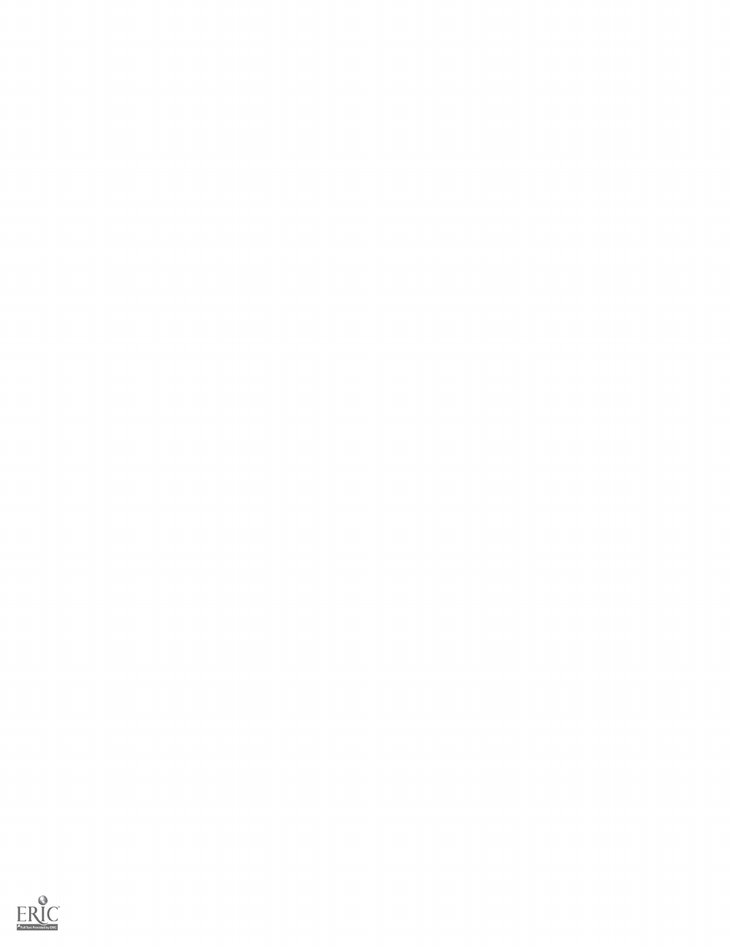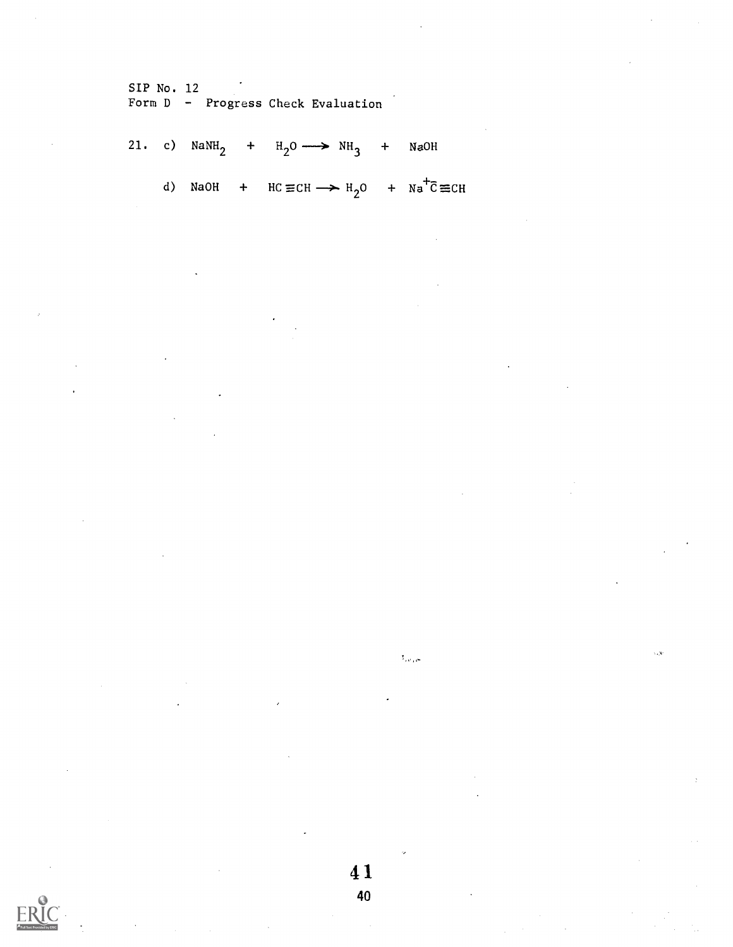SIP No. 12 Form D - Progress Check Evaluation

21. c)  $N \text{a} \text{NH}_2$  +  $H_2$ O  $\longrightarrow$   $NH_3$  + NaOH

d) NaOH +  $HC \equiv CH \longrightarrow H_2O$  +  $Na^+C \equiv CH$ 

 $t_{\rm{core}}$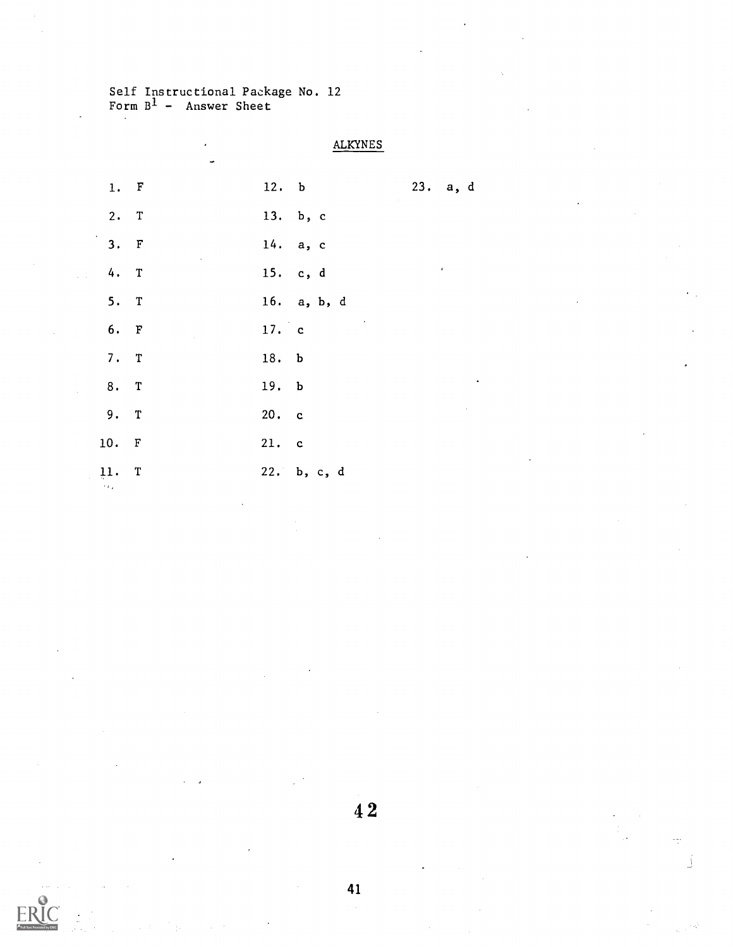Self Instructional Package No. 12 Form  $B^{\perp}$  - Answer Sheet

÷

# ALKYNES

| 1. F                                                    |       | 12. b       | 23. a, d      |
|---------------------------------------------------------|-------|-------------|---------------|
| 2. T                                                    |       | 13. b, c    |               |
| 3. F                                                    |       | 14. a, c    |               |
| 4. T                                                    |       | 15. c, d    | $\pmb{\cdot}$ |
| 5. T                                                    |       | 16. a, b, d |               |
| 6. F                                                    | 17. c |             |               |
| 7. T                                                    | 18. b |             |               |
| 8. T                                                    | 19. b |             |               |
| 9. T                                                    | 20. c |             |               |
| 10. F                                                   | 21. c |             |               |
| 11. T<br>$\langle\delta\mathcal{X}\rangle_{\mathbf{z}}$ |       | 22. b, c, d |               |

4 2

. . .

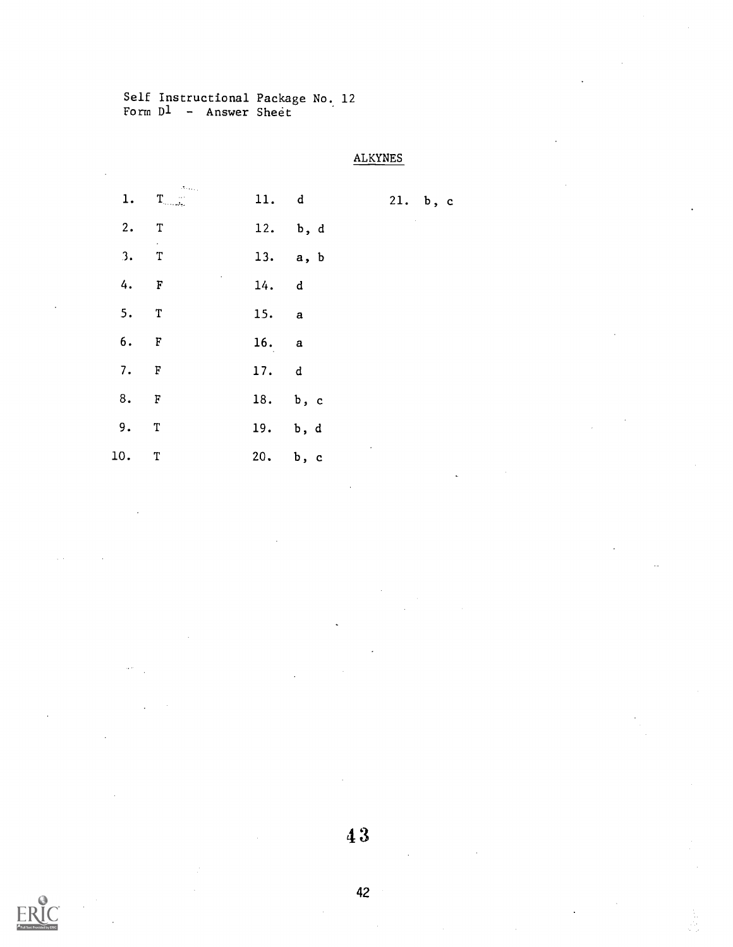Self Instructional Package No.. 12 Form Dl - Answer Sheet

# ALKYNES

|       | .<br>1. $T_{\ldots, \ldots, \ldots}$ |       | 11. d                  | 21. b, c |  |
|-------|--------------------------------------|-------|------------------------|----------|--|
| 2. T  |                                      |       | 12. b, d               |          |  |
| 3. T  |                                      |       | 13. a, b               |          |  |
| 4. F  |                                      | 14. d |                        |          |  |
| 5. T  |                                      | 15. a |                        |          |  |
| 6. F  |                                      | 16. a |                        |          |  |
| 7. F  |                                      | 17. d |                        |          |  |
| 8. F  |                                      |       | 18. b, c               |          |  |
| 9. T  |                                      |       | 19. b, d               |          |  |
| 10. T |                                      |       | $\epsilon$<br>20. b, c |          |  |